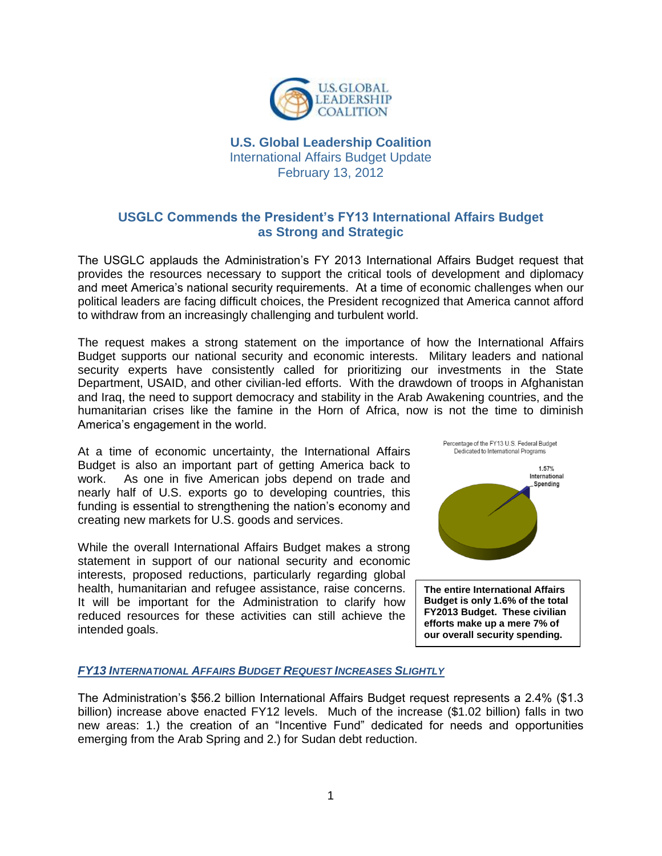

# **U.S. Global Leadership Coalition** International Affairs Budget Update February 13, 2012

# **USGLC Commends the President's FY13 International Affairs Budget as Strong and Strategic**

The USGLC applauds the Administration's FY 2013 International Affairs Budget request that provides the resources necessary to support the critical tools of development and diplomacy and meet America's national security requirements. At a time of economic challenges when our political leaders are facing difficult choices, the President recognized that America cannot afford to withdraw from an increasingly challenging and turbulent world.

The request makes a strong statement on the importance of how the International Affairs Budget supports our national security and economic interests. Military leaders and national security experts have consistently called for prioritizing our investments in the State Department, USAID, and other civilian-led efforts. With the drawdown of troops in Afghanistan and Iraq, the need to support democracy and stability in the Arab Awakening countries, and the humanitarian crises like the famine in the Horn of Africa, now is not the time to diminish America's engagement in the world.

At a time of economic uncertainty, the International Affairs Budget is also an important part of getting America back to work. As one in five American jobs depend on trade and nearly half of U.S. exports go to developing countries, this funding is essential to strengthening the nation's economy and creating new markets for U.S. goods and services.

While the overall International Affairs Budget makes a strong statement in support of our national security and economic interests, proposed reductions, particularly regarding global health, humanitarian and refugee assistance, raise concerns. It will be important for the Administration to clarify how reduced resources for these activities can still achieve the intended goals.



**The entire International Affairs Budget is only 1.6% of the total FY2013 Budget. These civilian efforts make up a mere 7% of our overall security spending.**

### *FY13 INTERNATIONAL AFFAIRS BUDGET REQUEST INCREASES SLIGHTLY*

The Administration's \$56.2 billion International Affairs Budget request represents a 2.4% (\$1.3 billion) increase above enacted FY12 levels. Much of the increase (\$1.02 billion) falls in two new areas: 1.) the creation of an "Incentive Fund" dedicated for needs and opportunities emerging from the Arab Spring and 2.) for Sudan debt reduction.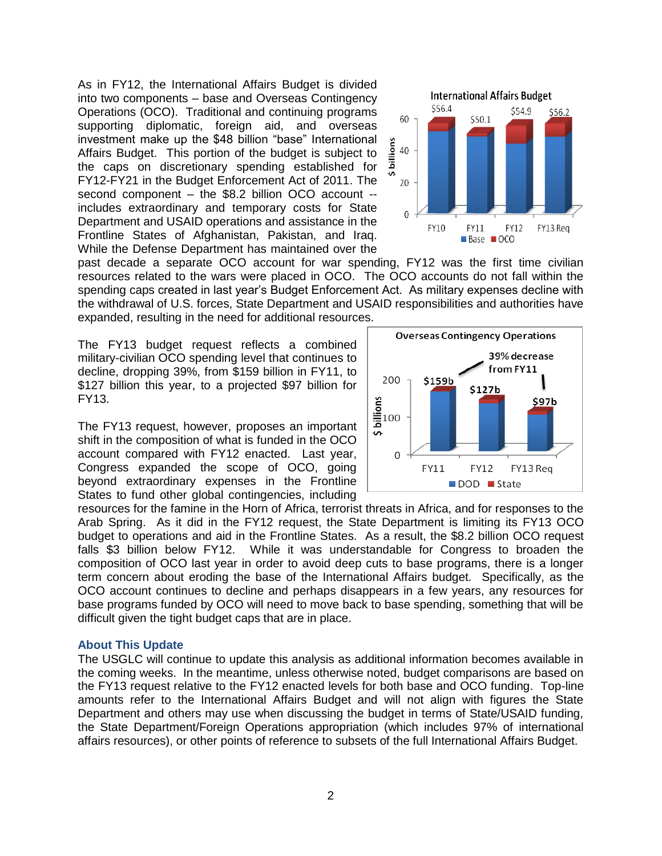As in FY12, the International Affairs Budget is divided into two components – base and Overseas Contingency Operations (OCO). Traditional and continuing programs supporting diplomatic, foreign aid, and overseas investment make up the \$48 billion "base" International Affairs Budget. This portion of the budget is subject to the caps on discretionary spending established for FY12-FY21 in the Budget Enforcement Act of 2011. The second component – the \$8.2 billion OCO account - includes extraordinary and temporary costs for State Department and USAID operations and assistance in the Frontline States of Afghanistan, Pakistan, and Iraq. While the Defense Department has maintained over the



past decade a separate OCO account for war spending, FY12 was the first time civilian resources related to the wars were placed in OCO. The OCO accounts do not fall within the spending caps created in last year's Budget Enforcement Act. As military expenses decline with the withdrawal of U.S. forces, State Department and USAID responsibilities and authorities have expanded, resulting in the need for additional resources.

The FY13 budget request reflects a combined military-civilian OCO spending level that continues to decline, dropping 39%, from \$159 billion in FY11, to \$127 billion this year, to a projected \$97 billion for FY13.

The FY13 request, however, proposes an important shift in the composition of what is funded in the OCO account compared with FY12 enacted. Last year, Congress expanded the scope of OCO, going beyond extraordinary expenses in the Frontline States to fund other global contingencies, including



resources for the famine in the Horn of Africa, terrorist threats in Africa, and for responses to the Arab Spring. As it did in the FY12 request, the State Department is limiting its FY13 OCO budget to operations and aid in the Frontline States. As a result, the \$8.2 billion OCO request falls \$3 billion below FY12. While it was understandable for Congress to broaden the composition of OCO last year in order to avoid deep cuts to base programs, there is a longer term concern about eroding the base of the International Affairs budget. Specifically, as the OCO account continues to decline and perhaps disappears in a few years, any resources for base programs funded by OCO will need to move back to base spending, something that will be difficult given the tight budget caps that are in place.

#### **About This Update**

The USGLC will continue to update this analysis as additional information becomes available in the coming weeks. In the meantime, unless otherwise noted, budget comparisons are based on the FY13 request relative to the FY12 enacted levels for both base and OCO funding. Top-line amounts refer to the International Affairs Budget and will not align with figures the State Department and others may use when discussing the budget in terms of State/USAID funding, the State Department/Foreign Operations appropriation (which includes 97% of international affairs resources), or other points of reference to subsets of the full International Affairs Budget.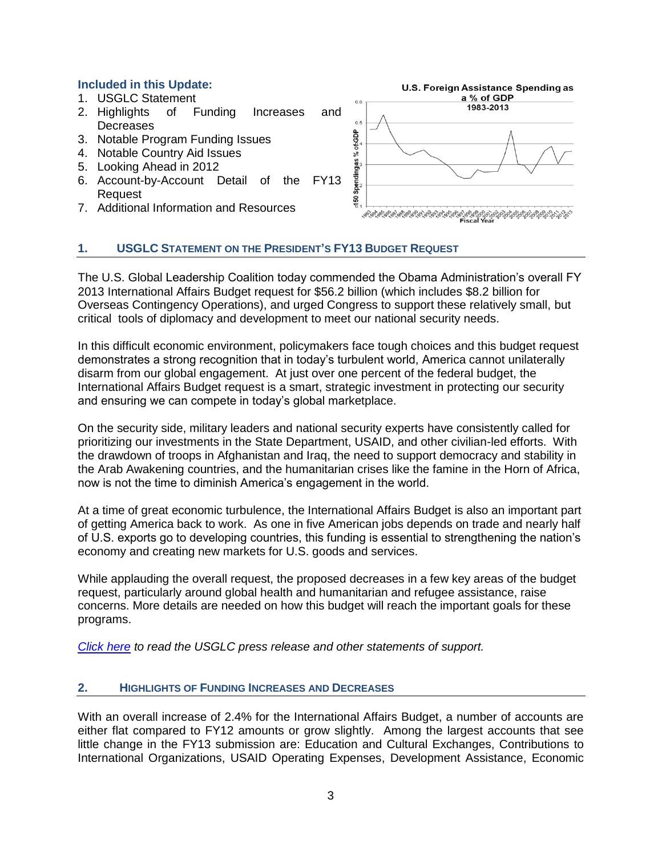### **Included in this Update:**

- 1. USGLC Statement
- 2. Highlights of Funding Increases and **Decreases**
- 3. Notable Program Funding Issues
- 4. Notable Country Aid Issues
- 5. Looking Ahead in 2012
- 6. Account-by-Account Detail of the FY13 Request
- 7. Additional Information and Resources



## **1. USGLC STATEMENT ON THE PRESIDENT'S FY13 BUDGET REQUEST**

The U.S. Global Leadership Coalition today commended the Obama Administration's overall FY 2013 International Affairs Budget request for \$56.2 billion (which includes \$8.2 billion for Overseas Contingency Operations), and urged Congress to support these relatively small, but critical tools of diplomacy and development to meet our national security needs.

In this difficult economic environment, policymakers face tough choices and this budget request demonstrates a strong recognition that in today's turbulent world, America cannot unilaterally disarm from our global engagement. At just over one percent of the federal budget, the International Affairs Budget request is a smart, strategic investment in protecting our security and ensuring we can compete in today's global marketplace.

On the security side, military leaders and national security experts have consistently called for prioritizing our investments in the State Department, USAID, and other civilian-led efforts. With the drawdown of troops in Afghanistan and Iraq, the need to support democracy and stability in the Arab Awakening countries, and the humanitarian crises like the famine in the Horn of Africa, now is not the time to diminish America's engagement in the world.

At a time of great economic turbulence, the International Affairs Budget is also an important part of getting America back to work. As one in five American jobs depends on trade and nearly half of U.S. exports go to developing countries, this funding is essential to strengthening the nation's economy and creating new markets for U.S. goods and services.

While applauding the overall request, the proposed decreases in a few key areas of the budget request, particularly around global health and humanitarian and refugee assistance, raise concerns. More details are needed on how this budget will reach the important goals for these programs.

*[Click here](http://www.usglc.org/2012/02/13/administrations-fy-2013-international-affairs-budget-request-strong-and-strategic/) to read the USGLC press release and other statements of support.*

### **2. HIGHLIGHTS OF FUNDING INCREASES AND DECREASES**

With an overall increase of 2.4% for the International Affairs Budget, a number of accounts are either flat compared to FY12 amounts or grow slightly. Among the largest accounts that see little change in the FY13 submission are: Education and Cultural Exchanges, Contributions to International Organizations, USAID Operating Expenses, Development Assistance, Economic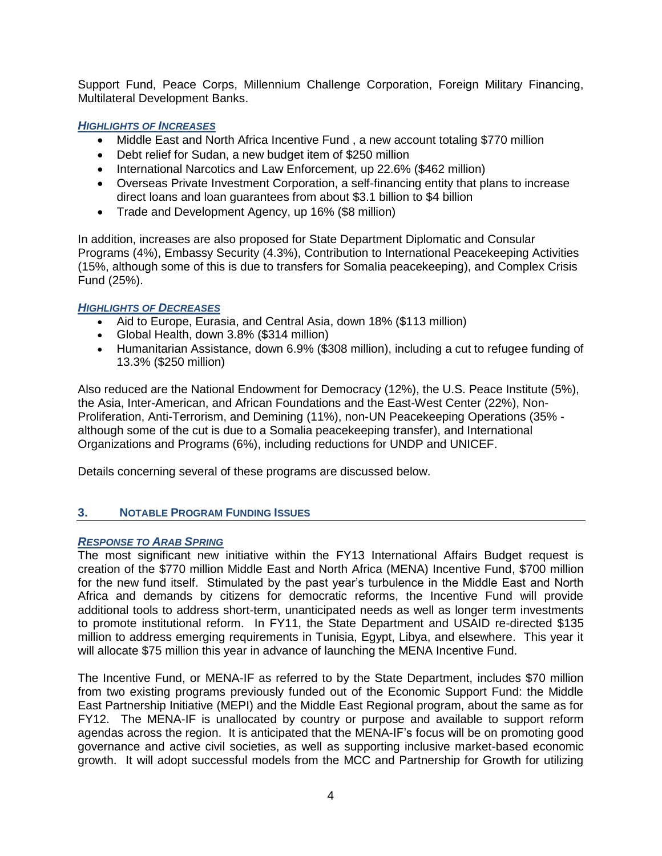Support Fund, Peace Corps, Millennium Challenge Corporation, Foreign Military Financing, Multilateral Development Banks.

### *HIGHLIGHTS OF INCREASES*

- Middle East and North Africa Incentive Fund, a new account totaling \$770 million
- Debt relief for Sudan, a new budget item of \$250 million
- International Narcotics and Law Enforcement, up 22.6% (\$462 million)
- Overseas Private Investment Corporation, a self-financing entity that plans to increase direct loans and loan guarantees from about \$3.1 billion to \$4 billion
- Trade and Development Agency, up 16% (\$8 million)

In addition, increases are also proposed for State Department Diplomatic and Consular Programs (4%), Embassy Security (4.3%), Contribution to International Peacekeeping Activities (15%, although some of this is due to transfers for Somalia peacekeeping), and Complex Crisis Fund (25%).

### *HIGHLIGHTS OF DECREASES*

- Aid to Europe, Eurasia, and Central Asia, down 18% (\$113 million)
- Global Health, down 3.8% (\$314 million)
- Humanitarian Assistance, down 6.9% (\$308 million), including a cut to refugee funding of 13.3% (\$250 million)

Also reduced are the National Endowment for Democracy (12%), the U.S. Peace Institute (5%), the Asia, Inter-American, and African Foundations and the East-West Center (22%), Non-Proliferation, Anti-Terrorism, and Demining (11%), non-UN Peacekeeping Operations (35% although some of the cut is due to a Somalia peacekeeping transfer), and International Organizations and Programs (6%), including reductions for UNDP and UNICEF.

Details concerning several of these programs are discussed below.

### **3. NOTABLE PROGRAM FUNDING ISSUES**

#### *RESPONSE TO ARAB SPRING*

The most significant new initiative within the FY13 International Affairs Budget request is creation of the \$770 million Middle East and North Africa (MENA) Incentive Fund, \$700 million for the new fund itself. Stimulated by the past year's turbulence in the Middle East and North Africa and demands by citizens for democratic reforms, the Incentive Fund will provide additional tools to address short-term, unanticipated needs as well as longer term investments to promote institutional reform. In FY11, the State Department and USAID re-directed \$135 million to address emerging requirements in Tunisia, Egypt, Libya, and elsewhere. This year it will allocate \$75 million this year in advance of launching the MENA Incentive Fund.

The Incentive Fund, or MENA-IF as referred to by the State Department, includes \$70 million from two existing programs previously funded out of the Economic Support Fund: the Middle East Partnership Initiative (MEPI) and the Middle East Regional program, about the same as for FY12. The MENA-IF is unallocated by country or purpose and available to support reform agendas across the region. It is anticipated that the MENA-IF's focus will be on promoting good governance and active civil societies, as well as supporting inclusive market-based economic growth. It will adopt successful models from the MCC and Partnership for Growth for utilizing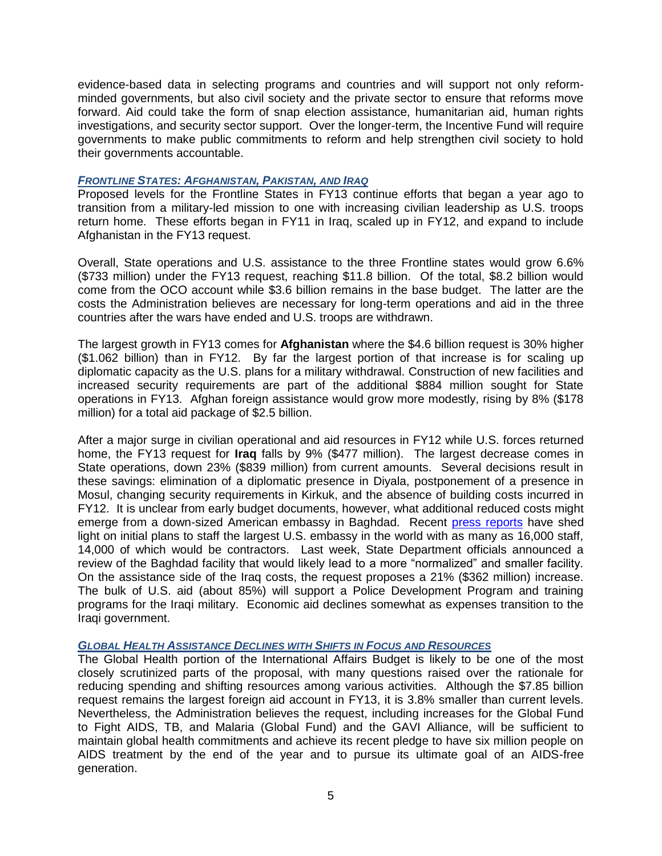evidence-based data in selecting programs and countries and will support not only reformminded governments, but also civil society and the private sector to ensure that reforms move forward. Aid could take the form of snap election assistance, humanitarian aid, human rights investigations, and security sector support. Over the longer-term, the Incentive Fund will require governments to make public commitments to reform and help strengthen civil society to hold their governments accountable.

#### *FRONTLINE STATES: AFGHANISTAN, PAKISTAN, AND IRAQ*

Proposed levels for the Frontline States in FY13 continue efforts that began a year ago to transition from a military-led mission to one with increasing civilian leadership as U.S. troops return home. These efforts began in FY11 in Iraq, scaled up in FY12, and expand to include Afghanistan in the FY13 request.

Overall, State operations and U.S. assistance to the three Frontline states would grow 6.6% (\$733 million) under the FY13 request, reaching \$11.8 billion. Of the total, \$8.2 billion would come from the OCO account while \$3.6 billion remains in the base budget. The latter are the costs the Administration believes are necessary for long-term operations and aid in the three countries after the wars have ended and U.S. troops are withdrawn.

The largest growth in FY13 comes for **Afghanistan** where the \$4.6 billion request is 30% higher (\$1.062 billion) than in FY12. By far the largest portion of that increase is for scaling up diplomatic capacity as the U.S. plans for a military withdrawal. Construction of new facilities and increased security requirements are part of the additional \$884 million sought for State operations in FY13. Afghan foreign assistance would grow more modestly, rising by 8% (\$178 million) for a total aid package of \$2.5 billion.

After a major surge in civilian operational and aid resources in FY12 while U.S. forces returned home, the FY13 request for **Iraq** falls by 9% (\$477 million). The largest decrease comes in State operations, down 23% (\$839 million) from current amounts. Several decisions result in these savings: elimination of a diplomatic presence in Diyala, postponement of a presence in Mosul, changing security requirements in Kirkuk, and the absence of building costs incurred in FY12. It is unclear from early budget documents, however, what additional reduced costs might emerge from a down-sized American embassy in Baghdad. Recent [press reports](http://www.nytimes.com/2012/02/08/world/middleeast/united-states-planning-to-slash-iraq-embassy-staff-by-half.html?_r=1&scp=1&sq=iraq%20embassy&st=cse) have shed light on initial plans to staff the largest U.S. embassy in the world with as many as 16,000 staff, 14,000 of which would be contractors. Last week, State Department officials announced a review of the Baghdad facility that would likely lead to a more "normalized" and smaller facility. On the assistance side of the Iraq costs, the request proposes a 21% (\$362 million) increase. The bulk of U.S. aid (about 85%) will support a Police Development Program and training programs for the Iraqi military. Economic aid declines somewhat as expenses transition to the Iraqi government.

### *GLOBAL HEALTH ASSISTANCE DECLINES WITH SHIFTS IN FOCUS AND RESOURCES*

The Global Health portion of the International Affairs Budget is likely to be one of the most closely scrutinized parts of the proposal, with many questions raised over the rationale for reducing spending and shifting resources among various activities. Although the \$7.85 billion request remains the largest foreign aid account in FY13, it is 3.8% smaller than current levels. Nevertheless, the Administration believes the request, including increases for the Global Fund to Fight AIDS, TB, and Malaria (Global Fund) and the GAVI Alliance, will be sufficient to maintain global health commitments and achieve its recent pledge to have six million people on AIDS treatment by the end of the year and to pursue its ultimate goal of an AIDS-free generation.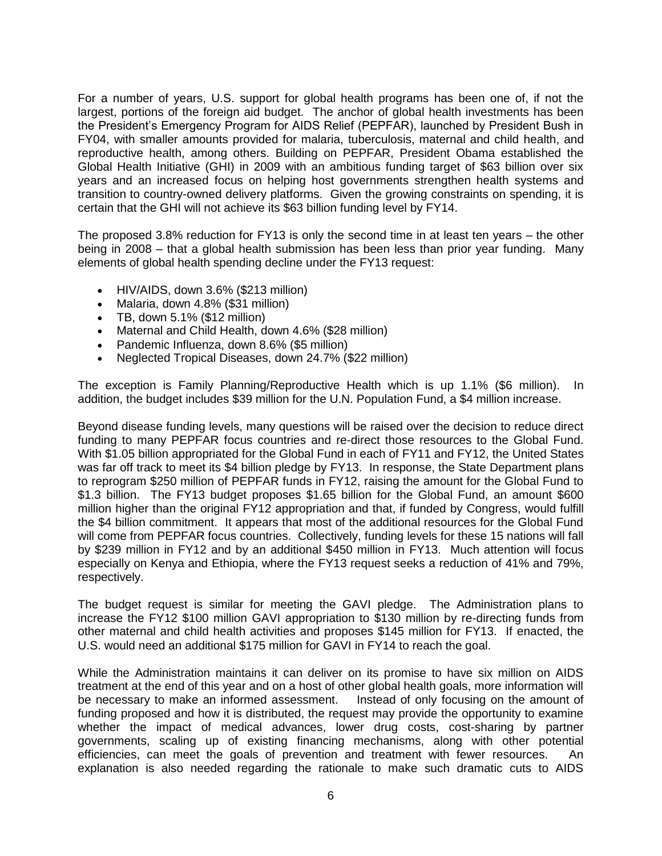For a number of years, U.S. support for global health programs has been one of, if not the largest, portions of the foreign aid budget. The anchor of global health investments has been the President's Emergency Program for AIDS Relief (PEPFAR), launched by President Bush in FY04, with smaller amounts provided for malaria, tuberculosis, maternal and child health, and reproductive health, among others. Building on PEPFAR, President Obama established the Global Health Initiative (GHI) in 2009 with an ambitious funding target of \$63 billion over six years and an increased focus on helping host governments strengthen health systems and transition to country-owned delivery platforms. Given the growing constraints on spending, it is certain that the GHI will not achieve its \$63 billion funding level by FY14.

The proposed 3.8% reduction for FY13 is only the second time in at least ten years – the other being in 2008 – that a global health submission has been less than prior year funding. Many elements of global health spending decline under the FY13 request:

- HIV/AIDS, down 3.6% (\$213 million)
- Malaria, down 4.8% (\$31 million)
- $\bullet$  TB, down 5.1% (\$12 million)
- Maternal and Child Health, down 4.6% (\$28 million)
- Pandemic Influenza, down 8.6% (\$5 million)
- Neglected Tropical Diseases, down 24.7% (\$22 million)

The exception is Family Planning/Reproductive Health which is up 1.1% (\$6 million). In addition, the budget includes \$39 million for the U.N. Population Fund, a \$4 million increase.

Beyond disease funding levels, many questions will be raised over the decision to reduce direct funding to many PEPFAR focus countries and re-direct those resources to the Global Fund. With \$1.05 billion appropriated for the Global Fund in each of FY11 and FY12, the United States was far off track to meet its \$4 billion pledge by FY13. In response, the State Department plans to reprogram \$250 million of PEPFAR funds in FY12, raising the amount for the Global Fund to \$1.3 billion. The FY13 budget proposes \$1.65 billion for the Global Fund, an amount \$600 million higher than the original FY12 appropriation and that, if funded by Congress, would fulfill the \$4 billion commitment. It appears that most of the additional resources for the Global Fund will come from PEPFAR focus countries. Collectively, funding levels for these 15 nations will fall by \$239 million in FY12 and by an additional \$450 million in FY13. Much attention will focus especially on Kenya and Ethiopia, where the FY13 request seeks a reduction of 41% and 79%, respectively.

The budget request is similar for meeting the GAVI pledge. The Administration plans to increase the FY12 \$100 million GAVI appropriation to \$130 million by re-directing funds from other maternal and child health activities and proposes \$145 million for FY13. If enacted, the U.S. would need an additional \$175 million for GAVI in FY14 to reach the goal.

While the Administration maintains it can deliver on its promise to have six million on AIDS treatment at the end of this year and on a host of other global health goals, more information will be necessary to make an informed assessment. Instead of only focusing on the amount of funding proposed and how it is distributed, the request may provide the opportunity to examine whether the impact of medical advances, lower drug costs, cost-sharing by partner governments, scaling up of existing financing mechanisms, along with other potential efficiencies, can meet the goals of prevention and treatment with fewer resources. An explanation is also needed regarding the rationale to make such dramatic cuts to AIDS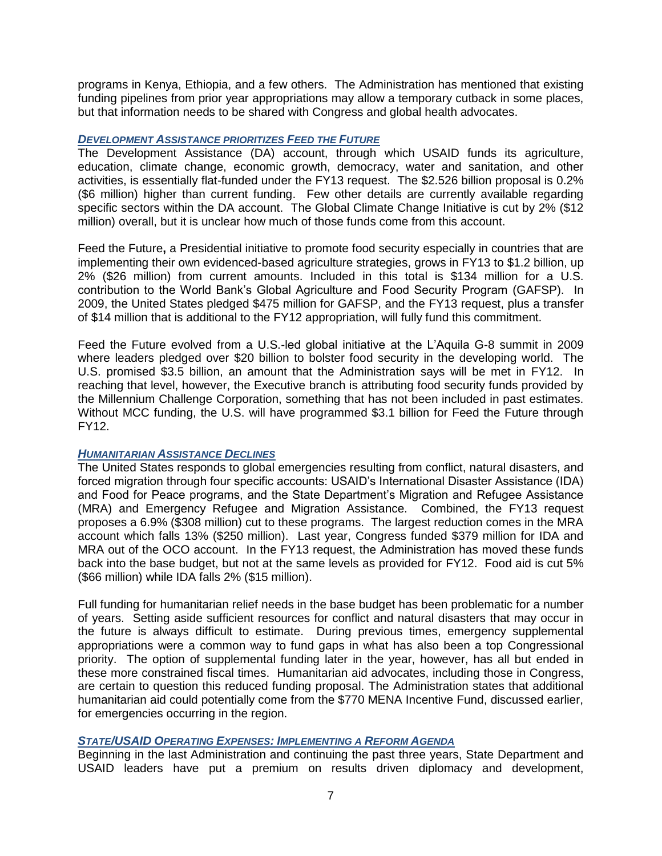programs in Kenya, Ethiopia, and a few others. The Administration has mentioned that existing funding pipelines from prior year appropriations may allow a temporary cutback in some places, but that information needs to be shared with Congress and global health advocates.

#### *DEVELOPMENT ASSISTANCE PRIORITIZES FEED THE FUTURE*

The Development Assistance (DA) account, through which USAID funds its agriculture, education, climate change, economic growth, democracy, water and sanitation, and other activities, is essentially flat-funded under the FY13 request. The \$2.526 billion proposal is 0.2% (\$6 million) higher than current funding. Few other details are currently available regarding specific sectors within the DA account. The Global Climate Change Initiative is cut by 2% (\$12 million) overall, but it is unclear how much of those funds come from this account.

Feed the Future**,** a Presidential initiative to promote food security especially in countries that are implementing their own evidenced-based agriculture strategies, grows in FY13 to \$1.2 billion, up 2% (\$26 million) from current amounts. Included in this total is \$134 million for a U.S. contribution to the World Bank's Global Agriculture and Food Security Program (GAFSP). In 2009, the United States pledged \$475 million for GAFSP, and the FY13 request, plus a transfer of \$14 million that is additional to the FY12 appropriation, will fully fund this commitment.

Feed the Future evolved from a U.S.-led global initiative at the L'Aquila G-8 summit in 2009 where leaders pledged over \$20 billion to bolster food security in the developing world. The U.S. promised \$3.5 billion, an amount that the Administration says will be met in FY12. In reaching that level, however, the Executive branch is attributing food security funds provided by the Millennium Challenge Corporation, something that has not been included in past estimates. Without MCC funding, the U.S. will have programmed \$3.1 billion for Feed the Future through FY12.

### *HUMANITARIAN ASSISTANCE DECLINES*

The United States responds to global emergencies resulting from conflict, natural disasters, and forced migration through four specific accounts: USAID's International Disaster Assistance (IDA) and Food for Peace programs, and the State Department's Migration and Refugee Assistance (MRA) and Emergency Refugee and Migration Assistance. Combined, the FY13 request proposes a 6.9% (\$308 million) cut to these programs. The largest reduction comes in the MRA account which falls 13% (\$250 million). Last year, Congress funded \$379 million for IDA and MRA out of the OCO account. In the FY13 request, the Administration has moved these funds back into the base budget, but not at the same levels as provided for FY12. Food aid is cut 5% (\$66 million) while IDA falls 2% (\$15 million).

Full funding for humanitarian relief needs in the base budget has been problematic for a number of years. Setting aside sufficient resources for conflict and natural disasters that may occur in the future is always difficult to estimate. During previous times, emergency supplemental appropriations were a common way to fund gaps in what has also been a top Congressional priority. The option of supplemental funding later in the year, however, has all but ended in these more constrained fiscal times. Humanitarian aid advocates, including those in Congress, are certain to question this reduced funding proposal. The Administration states that additional humanitarian aid could potentially come from the \$770 MENA Incentive Fund, discussed earlier, for emergencies occurring in the region.

### *STATE/USAID OPERATING EXPENSES: IMPLEMENTING A REFORM AGENDA*

Beginning in the last Administration and continuing the past three years, State Department and USAID leaders have put a premium on results driven diplomacy and development,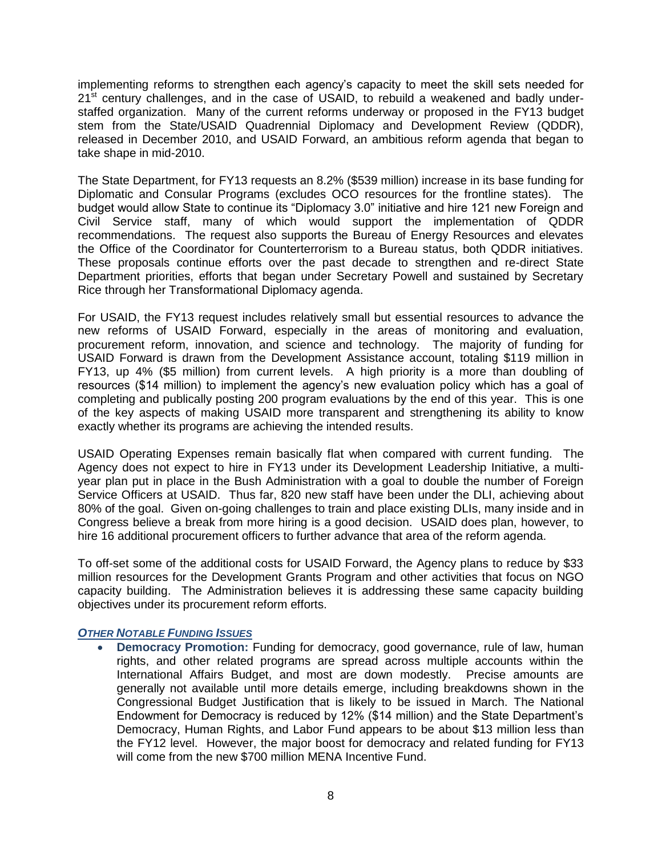implementing reforms to strengthen each agency's capacity to meet the skill sets needed for  $21<sup>st</sup>$  century challenges, and in the case of USAID, to rebuild a weakened and badly understaffed organization. Many of the current reforms underway or proposed in the FY13 budget stem from the State/USAID Quadrennial Diplomacy and Development Review (QDDR), released in December 2010, and USAID Forward, an ambitious reform agenda that began to take shape in mid-2010.

The State Department, for FY13 requests an 8.2% (\$539 million) increase in its base funding for Diplomatic and Consular Programs (excludes OCO resources for the frontline states). The budget would allow State to continue its "Diplomacy 3.0" initiative and hire 121 new Foreign and Civil Service staff, many of which would support the implementation of QDDR recommendations. The request also supports the Bureau of Energy Resources and elevates the Office of the Coordinator for Counterterrorism to a Bureau status, both QDDR initiatives. These proposals continue efforts over the past decade to strengthen and re-direct State Department priorities, efforts that began under Secretary Powell and sustained by Secretary Rice through her Transformational Diplomacy agenda.

For USAID, the FY13 request includes relatively small but essential resources to advance the new reforms of USAID Forward, especially in the areas of monitoring and evaluation, procurement reform, innovation, and science and technology. The majority of funding for USAID Forward is drawn from the Development Assistance account, totaling \$119 million in FY13, up 4% (\$5 million) from current levels. A high priority is a more than doubling of resources (\$14 million) to implement the agency's new evaluation policy which has a goal of completing and publically posting 200 program evaluations by the end of this year. This is one of the key aspects of making USAID more transparent and strengthening its ability to know exactly whether its programs are achieving the intended results.

USAID Operating Expenses remain basically flat when compared with current funding. The Agency does not expect to hire in FY13 under its Development Leadership Initiative, a multiyear plan put in place in the Bush Administration with a goal to double the number of Foreign Service Officers at USAID. Thus far, 820 new staff have been under the DLI, achieving about 80% of the goal. Given on-going challenges to train and place existing DLIs, many inside and in Congress believe a break from more hiring is a good decision. USAID does plan, however, to hire 16 additional procurement officers to further advance that area of the reform agenda.

To off-set some of the additional costs for USAID Forward, the Agency plans to reduce by \$33 million resources for the Development Grants Program and other activities that focus on NGO capacity building. The Administration believes it is addressing these same capacity building objectives under its procurement reform efforts.

### *OTHER NOTABLE FUNDING ISSUES*

 **Democracy Promotion:** Funding for democracy, good governance, rule of law, human rights, and other related programs are spread across multiple accounts within the International Affairs Budget, and most are down modestly. Precise amounts are generally not available until more details emerge, including breakdowns shown in the Congressional Budget Justification that is likely to be issued in March. The National Endowment for Democracy is reduced by 12% (\$14 million) and the State Department's Democracy, Human Rights, and Labor Fund appears to be about \$13 million less than the FY12 level. However, the major boost for democracy and related funding for FY13 will come from the new \$700 million MENA Incentive Fund.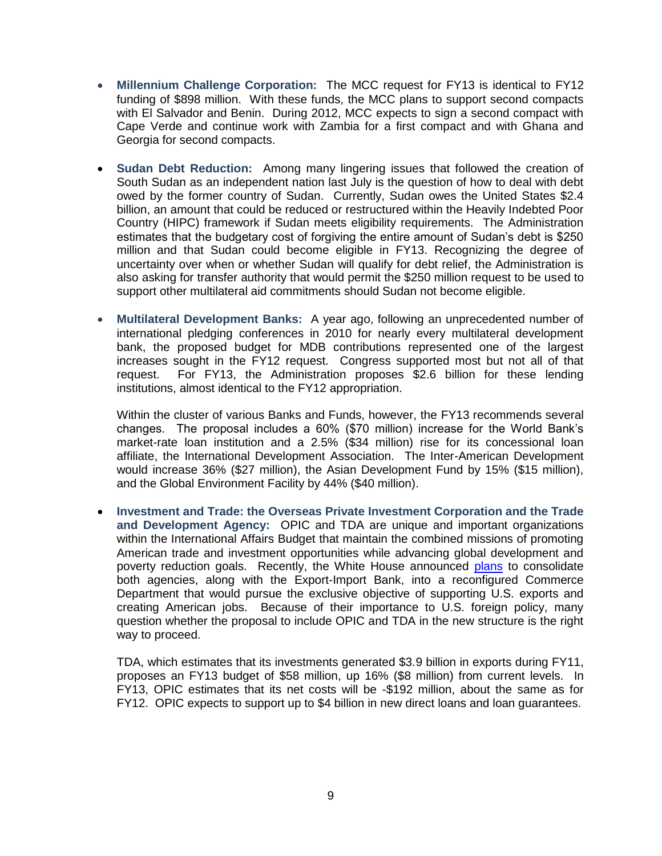- **Millennium Challenge Corporation:** The MCC request for FY13 is identical to FY12 funding of \$898 million. With these funds, the MCC plans to support second compacts with El Salvador and Benin. During 2012, MCC expects to sign a second compact with Cape Verde and continue work with Zambia for a first compact and with Ghana and Georgia for second compacts.
- **Sudan Debt Reduction:** Among many lingering issues that followed the creation of South Sudan as an independent nation last July is the question of how to deal with debt owed by the former country of Sudan. Currently, Sudan owes the United States \$2.4 billion, an amount that could be reduced or restructured within the Heavily Indebted Poor Country (HIPC) framework if Sudan meets eligibility requirements. The Administration estimates that the budgetary cost of forgiving the entire amount of Sudan's debt is \$250 million and that Sudan could become eligible in FY13. Recognizing the degree of uncertainty over when or whether Sudan will qualify for debt relief, the Administration is also asking for transfer authority that would permit the \$250 million request to be used to support other multilateral aid commitments should Sudan not become eligible.
- **Multilateral Development Banks:** A year ago, following an unprecedented number of international pledging conferences in 2010 for nearly every multilateral development bank, the proposed budget for MDB contributions represented one of the largest increases sought in the FY12 request. Congress supported most but not all of that request. For FY13, the Administration proposes \$2.6 billion for these lending institutions, almost identical to the FY12 appropriation.

Within the cluster of various Banks and Funds, however, the FY13 recommends several changes. The proposal includes a 60% (\$70 million) increase for the World Bank's market-rate loan institution and a 2.5% (\$34 million) rise for its concessional loan affiliate, the International Development Association. The Inter-American Development would increase 36% (\$27 million), the Asian Development Fund by 15% (\$15 million), and the Global Environment Facility by 44% (\$40 million).

 **Investment and Trade: the Overseas Private Investment Corporation and the Trade and Development Agency:** OPIC and TDA are unique and important organizations within the International Affairs Budget that maintain the combined missions of promoting American trade and investment opportunities while advancing global development and poverty reduction goals. Recently, the White House announced [plans](http://www.usglc.org/2012/01/27/international-affairs-budget-update-1-25-12/) to consolidate both agencies, along with the Export-Import Bank, into a reconfigured Commerce Department that would pursue the exclusive objective of supporting U.S. exports and creating American jobs. Because of their importance to U.S. foreign policy, many question whether the proposal to include OPIC and TDA in the new structure is the right way to proceed.

TDA, which estimates that its investments generated \$3.9 billion in exports during FY11, proposes an FY13 budget of \$58 million, up 16% (\$8 million) from current levels. In FY13, OPIC estimates that its net costs will be -\$192 million, about the same as for FY12. OPIC expects to support up to \$4 billion in new direct loans and loan guarantees.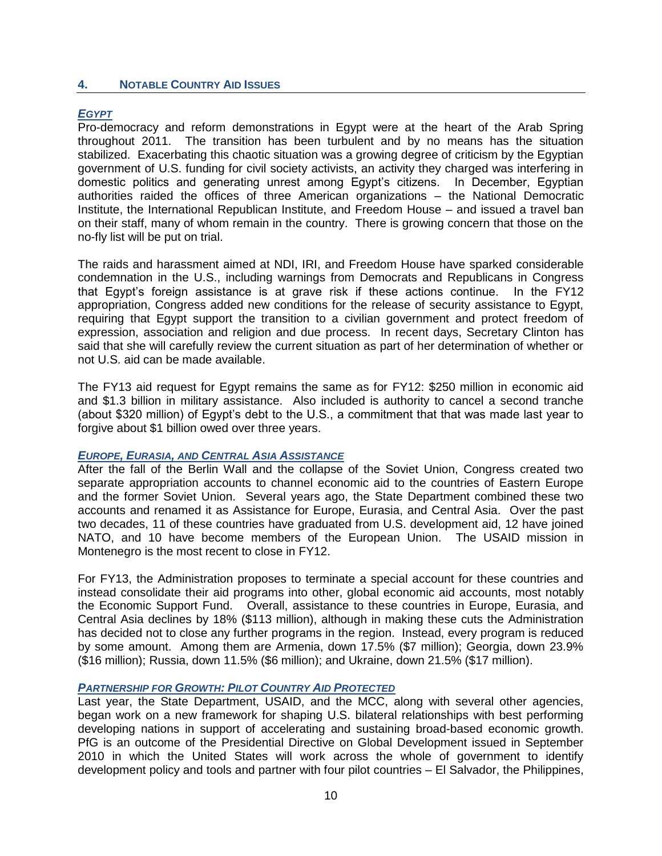### **4. NOTABLE COUNTRY AID ISSUES**

### *EGYPT*

Pro-democracy and reform demonstrations in Egypt were at the heart of the Arab Spring throughout 2011. The transition has been turbulent and by no means has the situation stabilized. Exacerbating this chaotic situation was a growing degree of criticism by the Egyptian government of U.S. funding for civil society activists, an activity they charged was interfering in domestic politics and generating unrest among Egypt's citizens. In December, Egyptian authorities raided the offices of three American organizations – the National Democratic Institute, the International Republican Institute, and Freedom House – and issued a travel ban on their staff, many of whom remain in the country. There is growing concern that those on the no-fly list will be put on trial.

The raids and harassment aimed at NDI, IRI, and Freedom House have sparked considerable condemnation in the U.S., including warnings from Democrats and Republicans in Congress that Egypt's foreign assistance is at grave risk if these actions continue. In the FY12 appropriation, Congress added new conditions for the release of security assistance to Egypt, requiring that Egypt support the transition to a civilian government and protect freedom of expression, association and religion and due process. In recent days, Secretary Clinton has said that she will carefully review the current situation as part of her determination of whether or not U.S. aid can be made available.

The FY13 aid request for Egypt remains the same as for FY12: \$250 million in economic aid and \$1.3 billion in military assistance. Also included is authority to cancel a second tranche (about \$320 million) of Egypt's debt to the U.S., a commitment that that was made last year to forgive about \$1 billion owed over three years.

#### *EUROPE, EURASIA, AND CENTRAL ASIA ASSISTANCE*

After the fall of the Berlin Wall and the collapse of the Soviet Union, Congress created two separate appropriation accounts to channel economic aid to the countries of Eastern Europe and the former Soviet Union. Several years ago, the State Department combined these two accounts and renamed it as Assistance for Europe, Eurasia, and Central Asia. Over the past two decades, 11 of these countries have graduated from U.S. development aid, 12 have joined NATO, and 10 have become members of the European Union. The USAID mission in Montenegro is the most recent to close in FY12.

For FY13, the Administration proposes to terminate a special account for these countries and instead consolidate their aid programs into other, global economic aid accounts, most notably the Economic Support Fund. Overall, assistance to these countries in Europe, Eurasia, and Central Asia declines by 18% (\$113 million), although in making these cuts the Administration has decided not to close any further programs in the region. Instead, every program is reduced by some amount. Among them are Armenia, down 17.5% (\$7 million); Georgia, down 23.9% (\$16 million); Russia, down 11.5% (\$6 million); and Ukraine, down 21.5% (\$17 million).

#### *PARTNERSHIP FOR GROWTH: PILOT COUNTRY AID PROTECTED*

Last year, the State Department, USAID, and the MCC, along with several other agencies, began work on a new framework for shaping U.S. bilateral relationships with best performing developing nations in support of accelerating and sustaining broad-based economic growth. PfG is an outcome of the Presidential Directive on Global Development issued in September 2010 in which the United States will work across the whole of government to identify development policy and tools and partner with four pilot countries – El Salvador, the Philippines,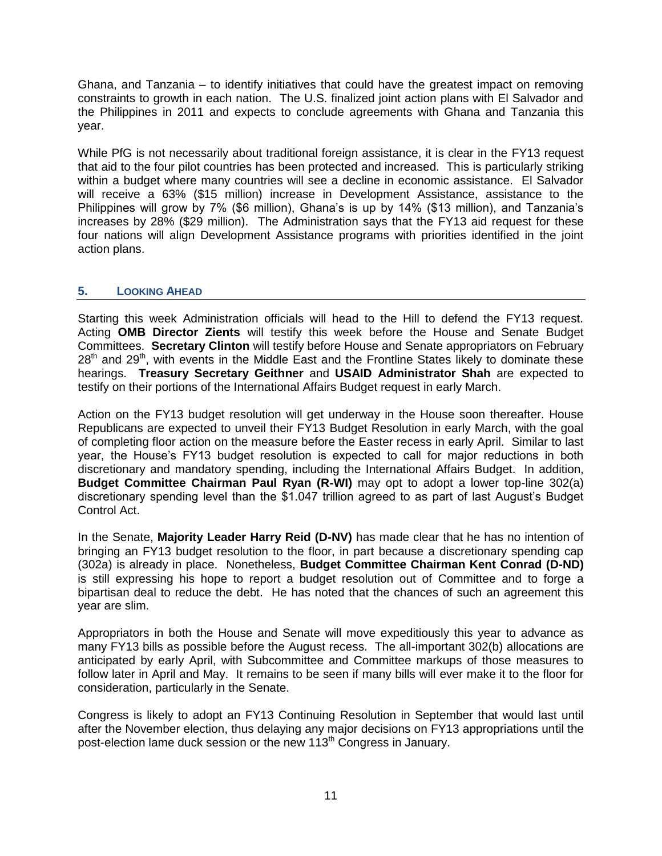Ghana, and Tanzania – to identify initiatives that could have the greatest impact on removing constraints to growth in each nation. The U.S. finalized joint action plans with El Salvador and the Philippines in 2011 and expects to conclude agreements with Ghana and Tanzania this year.

While PfG is not necessarily about traditional foreign assistance, it is clear in the FY13 request that aid to the four pilot countries has been protected and increased. This is particularly striking within a budget where many countries will see a decline in economic assistance. El Salvador will receive a 63% (\$15 million) increase in Development Assistance, assistance to the Philippines will grow by 7% (\$6 million), Ghana's is up by 14% (\$13 million), and Tanzania's increases by 28% (\$29 million). The Administration says that the FY13 aid request for these four nations will align Development Assistance programs with priorities identified in the joint action plans.

## **5. LOOKING AHEAD**

Starting this week Administration officials will head to the Hill to defend the FY13 request. Acting **OMB Director Zients** will testify this week before the House and Senate Budget Committees. **Secretary Clinton** will testify before House and Senate appropriators on February  $28<sup>th</sup>$  and  $29<sup>th</sup>$ , with events in the Middle East and the Frontline States likely to dominate these hearings. **Treasury Secretary Geithner** and **USAID Administrator Shah** are expected to testify on their portions of the International Affairs Budget request in early March.

Action on the FY13 budget resolution will get underway in the House soon thereafter. House Republicans are expected to unveil their FY13 Budget Resolution in early March, with the goal of completing floor action on the measure before the Easter recess in early April. Similar to last year, the House's FY13 budget resolution is expected to call for major reductions in both discretionary and mandatory spending, including the International Affairs Budget. In addition, **Budget Committee Chairman Paul Ryan (R-WI)** may opt to adopt a lower top-line 302(a) discretionary spending level than the \$1.047 trillion agreed to as part of last August's Budget Control Act.

In the Senate, **Majority Leader Harry Reid (D-NV)** has made clear that he has no intention of bringing an FY13 budget resolution to the floor, in part because a discretionary spending cap (302a) is already in place. Nonetheless, **Budget Committee Chairman Kent Conrad (D-ND)** is still expressing his hope to report a budget resolution out of Committee and to forge a bipartisan deal to reduce the debt. He has noted that the chances of such an agreement this year are slim.

Appropriators in both the House and Senate will move expeditiously this year to advance as many FY13 bills as possible before the August recess. The all-important 302(b) allocations are anticipated by early April, with Subcommittee and Committee markups of those measures to follow later in April and May. It remains to be seen if many bills will ever make it to the floor for consideration, particularly in the Senate.

Congress is likely to adopt an FY13 Continuing Resolution in September that would last until after the November election, thus delaying any major decisions on FY13 appropriations until the post-election lame duck session or the new 113<sup>th</sup> Congress in January.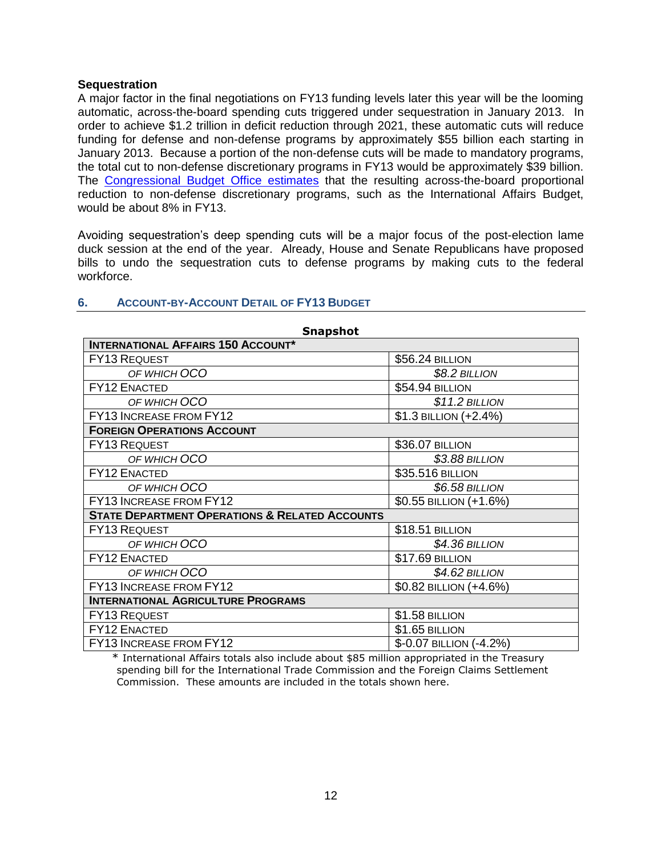#### **Sequestration**

A major factor in the final negotiations on FY13 funding levels later this year will be the looming automatic, across-the-board spending cuts triggered under sequestration in January 2013. In order to achieve \$1.2 trillion in deficit reduction through 2021, these automatic cuts will reduce funding for defense and non-defense programs by approximately \$55 billion each starting in January 2013. Because a portion of the non-defense cuts will be made to mandatory programs, the total cut to non-defense discretionary programs in FY13 would be approximately \$39 billion. The [Congressional Budget Office estimates](http://www.cbo.gov/doc.cfm?index=12414) that the resulting across-the-board proportional reduction to non-defense discretionary programs, such as the International Affairs Budget, would be about 8% in FY13.

Avoiding sequestration's deep spending cuts will be a major focus of the post-election lame duck session at the end of the year. Already, House and Senate Republicans have proposed bills to undo the sequestration cuts to defense programs by making cuts to the federal workforce.

| <b>Snapshot</b>                                           |                           |  |  |  |  |
|-----------------------------------------------------------|---------------------------|--|--|--|--|
| <b>INTERNATIONAL AFFAIRS 150 ACCOUNT*</b>                 |                           |  |  |  |  |
| <b>FY13 REQUEST</b>                                       | <b>\$56.24 BILLION</b>    |  |  |  |  |
| OF WHICH OCO                                              | $$8.2$ BILLION            |  |  |  |  |
| <b>FY12 ENACTED</b>                                       | \$54.94 BILLION           |  |  |  |  |
| OF WHICH OCO                                              | $$11.2$ BILLION           |  |  |  |  |
| FY13 INCREASE FROM FY12                                   | \$1.3 BILLION (+2.4%)     |  |  |  |  |
| <b>FOREIGN OPERATIONS ACCOUNT</b>                         |                           |  |  |  |  |
| <b>FY13 REQUEST</b>                                       | \$36.07 BILLION           |  |  |  |  |
| OF WHICH OCO                                              | \$3.88 BILLION            |  |  |  |  |
| <b>FY12 ENACTED</b>                                       | \$35.516 BILLION          |  |  |  |  |
| OF WHICH OCO                                              | \$6.58 BILLION            |  |  |  |  |
| <b>FY13 INCREASE FROM FY12</b>                            | $$0.55$ BILLION $(+1.6%)$ |  |  |  |  |
| <b>STATE DEPARTMENT OPERATIONS &amp; RELATED ACCOUNTS</b> |                           |  |  |  |  |
| <b>FY13 REQUEST</b>                                       | \$18.51 BILLION           |  |  |  |  |
| OF WHICH OCO                                              | \$4.36 BILLION            |  |  |  |  |
| <b>FY12 ENACTED</b>                                       | \$17.69 BILLION           |  |  |  |  |
| OF WHICH OCO                                              | \$4.62 BILLION            |  |  |  |  |
| FY13 INCREASE FROM FY12                                   | \$0.82 BILLION (+4.6%)    |  |  |  |  |
| <b>INTERNATIONAL AGRICULTURE PROGRAMS</b>                 |                           |  |  |  |  |
| FY13 REQUEST                                              | \$1.58 BILLION            |  |  |  |  |
| <b>FY12 ENACTED</b>                                       | \$1.65 BILLION            |  |  |  |  |
| FY13 INCREASE FROM FY12                                   | \$-0.07 BILLION (-4.2%)   |  |  |  |  |

### **6. ACCOUNT-BY-ACCOUNT DETAIL OF FY13 BUDGET**

\* International Affairs totals also include about \$85 million appropriated in the Treasury spending bill for the International Trade Commission and the Foreign Claims Settlement Commission. These amounts are included in the totals shown here.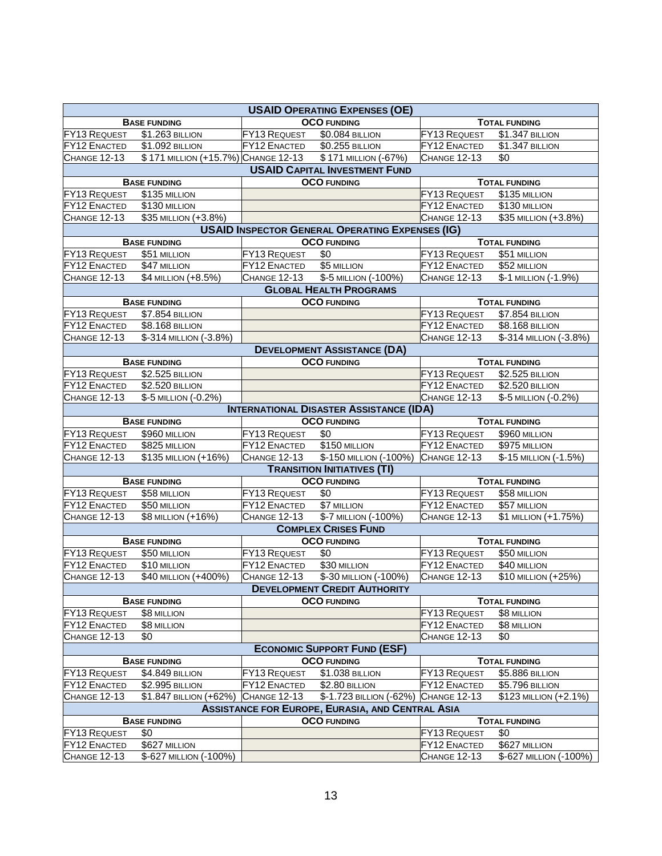| <b>USAID OPERATING EXPENSES (OE)</b>                              |                                     |                     |                                                         |                      |                        |  |
|-------------------------------------------------------------------|-------------------------------------|---------------------|---------------------------------------------------------|----------------------|------------------------|--|
|                                                                   | <b>BASE FUNDING</b>                 |                     | <b>OCO FUNDING</b>                                      |                      | <b>TOTAL FUNDING</b>   |  |
| FY13 REQUEST                                                      | \$1.263 BILLION                     | <b>FY13 REQUEST</b> | <b>\$0.084 BILLION</b>                                  | FY13 REQUEST         | \$1.347 BILLION        |  |
| FY12 ENACTED                                                      | \$1.092 BILLION                     | FY12 ENACTED        | $\overline{$0.255}$ BILLION                             | FY12 ENACTED         | \$1.347 BILLION        |  |
| CHANGE 12-13                                                      | \$171 MILLION (+15.7%) CHANGE 12-13 |                     | \$171 MILLION (-67%)                                    | CHANGE 12-13         | \$0                    |  |
|                                                                   |                                     |                     | <b>USAID CAPITAL INVESTMENT FUND</b>                    |                      |                        |  |
|                                                                   | <b>BASE FUNDING</b>                 |                     | <b>OCO FUNDING</b>                                      |                      | <b>TOTAL FUNDING</b>   |  |
| <b>FY13 REQUEST</b>                                               | \$135 MILLION                       |                     |                                                         | <b>FY13 REQUEST</b>  | \$135 MILLION          |  |
| <b>FY12 ENACTED</b>                                               | \$130 MILLION                       |                     |                                                         | <b>FY12 ENACTED</b>  | \$130 MILLION          |  |
| CHANGE 12-13                                                      | \$35 MILLION (+3.8%)                |                     |                                                         | CHANGE 12-13         | \$35 MILLION (+3.8%)   |  |
|                                                                   |                                     |                     | <b>USAID INSPECTOR GENERAL OPERATING EXPENSES (IG)</b>  |                      |                        |  |
|                                                                   | <b>BASE FUNDING</b>                 |                     | <b>OCO FUNDING</b>                                      |                      | <b>TOTAL FUNDING</b>   |  |
| <b>FY13 REQUEST</b>                                               | \$51 MILLION                        | <b>FY13 REQUEST</b> | \$0                                                     | FY13 REQUEST         | \$51 MILLION           |  |
| <b>FY12 ENACTED</b>                                               | \$47 MILLION                        | FY12 ENACTED        | \$5 MILLION                                             | <b>FY12 ENACTED</b>  | \$52 MILLION           |  |
| <b>CHANGE 12-13</b>                                               | \$4 MILLION (+8.5%)                 | <b>CHANGE 12-13</b> | \$-5 MILLION (-100%)                                    | <b>CHANGE 12-13</b>  | \$-1 MILLION (-1.9%)   |  |
|                                                                   |                                     |                     | <b>GLOBAL HEALTH PROGRAMS</b>                           |                      |                        |  |
|                                                                   | <b>BASE FUNDING</b>                 |                     | <b>OCO FUNDING</b>                                      |                      | <b>TOTAL FUNDING</b>   |  |
| FY13 REQUEST                                                      | <b>\$7.854 BILLION</b>              |                     |                                                         | FY13 REQUEST         | <b>\$7.854 BILLION</b> |  |
| FY12 ENACTED                                                      | <b>\$8.168 BILLION</b>              |                     |                                                         | <b>FY12 ENACTED</b>  | <b>\$8.168 BILLION</b> |  |
| CHANGE 12-13                                                      | \$-314 MILLION (-3.8%)              |                     |                                                         | CHANGE 12-13         | \$-314 MILLION (-3.8%) |  |
|                                                                   |                                     |                     | <b>DEVELOPMENT ASSISTANCE (DA)</b>                      |                      |                        |  |
|                                                                   | <b>BASE FUNDING</b>                 |                     | <b>OCO FUNDING</b>                                      |                      | <b>TOTAL FUNDING</b>   |  |
| FY13 REQUEST                                                      | \$2.525 BILLION                     |                     |                                                         | FY13 REQUEST         | \$2.525 BILLION        |  |
| FY12 ENACTED                                                      | \$2.520 BILLION                     |                     |                                                         | FY12 ENACTED         | \$2.520 BILLION        |  |
| CHANGE 12-13                                                      | \$-5 MILLION (-0.2%)                |                     |                                                         | CHANGE 12-13         | \$-5 MILLION (-0.2%)   |  |
|                                                                   |                                     |                     | <b>INTERNATIONAL DISASTER ASSISTANCE (IDA)</b>          |                      |                        |  |
| <b>BASE FUNDING</b><br><b>OCO FUNDING</b><br><b>TOTAL FUNDING</b> |                                     |                     |                                                         |                      |                        |  |
| <b>FY13 REQUEST</b>                                               | \$960 MILLION                       | FY13 REQUEST        | \$0                                                     | <b>FY13 REQUEST</b>  | \$960 MILLION          |  |
| <b>FY12 ENACTED</b>                                               | \$825 MILLION                       | FY12 ENACTED        | \$150 MILLION                                           | <b>FY12 ENACTED</b>  | \$975 MILLION          |  |
| CHANGE 12-13                                                      | \$135 MILLION (+16%)                | CHANGE 12-13        | \$-150 MILLION (-100%)                                  | CHANGE 12-13         | \$-15 MILLION (-1.5%)  |  |
|                                                                   | <b>TRANSITION INITIATIVES (TI)</b>  |                     |                                                         |                      |                        |  |
|                                                                   | <b>BASE FUNDING</b>                 |                     | <b>OCO FUNDING</b>                                      |                      | <b>TOTAL FUNDING</b>   |  |
| <b>FY13 REQUEST</b>                                               | \$58 MILLION                        | <b>FY13 REQUEST</b> | \$0                                                     | FY13 REQUEST         | \$58 MILLION           |  |
| <b>FY12 ENACTED</b>                                               | \$50 MILLION                        | <b>FY12 ENACTED</b> | \$7 MILLION                                             | FY12 ENACTED         | \$57 MILLION           |  |
| CHANGE 12-13                                                      | \$8 MILLION (+16%)                  | <b>CHANGE 12-13</b> | \$-7 MILLION (-100%)                                    | CHANGE 12-13         | \$1 MILLION (+1.75%)   |  |
| <b>COMPLEX CRISES FUND</b>                                        |                                     |                     |                                                         |                      |                        |  |
|                                                                   | <b>BASE FUNDING</b>                 |                     | <b>OCO FUNDING</b>                                      |                      | <b>TOTAL FUNDING</b>   |  |
| <b>FY13 REQUEST</b>                                               | \$50 MILLION                        | FY13 REQUEST        | $\sqrt{6}$                                              | <b>FY13 REQUEST</b>  | \$50 MILLION           |  |
| <b>FY12 ENACTED</b>                                               | \$10 MILLION                        | FY12 ENACTED        | \$30 MILLION                                            | FY12 ENACTED         | \$40 MILLION           |  |
| CHANGE 12-13                                                      | \$40 MILLION (+400%)                | CHANGE 12-13        | \$-30 MILLION (-100%)                                   | CHANGE 12-13         | \$10 MILLION (+25%)    |  |
| <b>DEVELOPMENT CREDIT AUTHORITY</b>                               |                                     |                     |                                                         |                      |                        |  |
|                                                                   | <b>BASE FUNDING</b>                 |                     | <b>OCO FUNDING</b>                                      | <b>TOTAL FUNDING</b> |                        |  |
| <b>FY13 REQUEST</b>                                               | \$8 MILLION                         |                     |                                                         | FY13 REQUEST         | \$8 MILLION            |  |
| FY12 ENACTED                                                      | \$8 MILLION                         |                     |                                                         | <b>FY12 ENACTED</b>  | \$8 MILLION            |  |
| CHANGE 12-13                                                      | \$0                                 |                     |                                                         | CHANGE 12-13         | \$0                    |  |
| <b>ECONOMIC SUPPORT FUND (ESF)</b>                                |                                     |                     |                                                         |                      |                        |  |
|                                                                   | <b>BASE FUNDING</b>                 |                     | <b>OCO FUNDING</b>                                      |                      | <b>TOTAL FUNDING</b>   |  |
| FY13 REQUEST                                                      | \$4.849 BILLION                     | FY13 REQUEST        | \$1.038 BILLION                                         | <b>FY13 REQUEST</b>  | \$5.886 BILLION        |  |
| <b>FY12 ENACTED</b>                                               | \$2.995 BILLION                     | <b>FY12 ENACTED</b> | \$2.80 BILLION                                          | FY12 ENACTED         | \$5.796 BILLION        |  |
| <b>CHANGE 12-13</b>                                               | \$1.847 BILLION (+62%)              | CHANGE 12-13        | \$-1.723 BILLION (-62%)                                 | CHANGE 12-13         | \$123 MILLION (+2.1%)  |  |
|                                                                   |                                     |                     | <b>ASSISTANCE FOR EUROPE, EURASIA, AND CENTRAL ASIA</b> |                      |                        |  |
|                                                                   | <b>BASE FUNDING</b>                 |                     | <b>OCO FUNDING</b>                                      |                      | <b>TOTAL FUNDING</b>   |  |
| <b>FY13 REQUEST</b>                                               | \$0                                 |                     |                                                         | <b>FY13 REQUEST</b>  | \$0                    |  |
| <b>FY12 ENACTED</b>                                               | \$627 MILLION                       |                     |                                                         | FY12 ENACTED         | \$627 MILLION          |  |
| <b>CHANGE 12-13</b>                                               | \$-627 MILLION (-100%)              |                     |                                                         | <b>CHANGE 12-13</b>  | \$-627 MILLION (-100%) |  |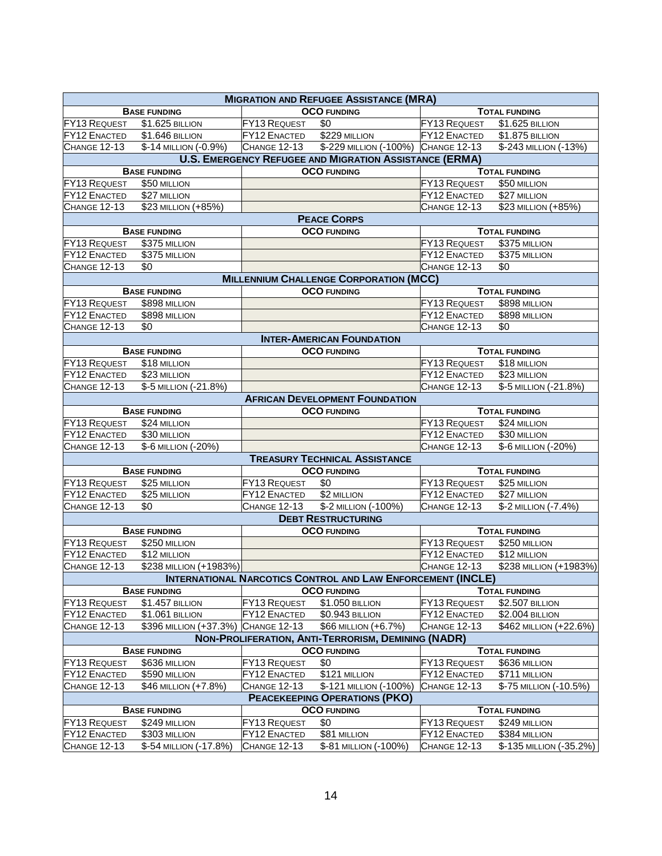| <b>MIGRATION AND REFUGEE ASSISTANCE (MRA)</b>                                                                                  |                                                                   |                                     |                                                                    |                                     |                                          |
|--------------------------------------------------------------------------------------------------------------------------------|-------------------------------------------------------------------|-------------------------------------|--------------------------------------------------------------------|-------------------------------------|------------------------------------------|
|                                                                                                                                | <b>BASE FUNDING</b>                                               |                                     | <b>OCO FUNDING</b>                                                 |                                     | <b>TOTAL FUNDING</b>                     |
| <b>FY13 REQUEST</b>                                                                                                            | \$1.625 BILLION                                                   | FY13 REQUEST                        | \$0                                                                | FY13 REQUEST                        | \$1.625 BILLION                          |
| FY12 ENACTED                                                                                                                   | \$1.646 BILLION                                                   | FY12 ENACTED                        | \$229 MILLION                                                      | <b>FY12 ENACTED</b>                 | \$1.875 BILLION                          |
| <b>CHANGE 12-13</b>                                                                                                            | \$-14 MILLION (-0.9%)                                             | <b>CHANGE 12-13</b>                 | \$-229 MILLION (-100%) CHANGE 12-13                                |                                     | \$-243 MILLION (-13%)                    |
|                                                                                                                                |                                                                   |                                     | <b>U.S. EMERGENCY REFUGEE AND MIGRATION ASSISTANCE (ERMA)</b>      |                                     |                                          |
|                                                                                                                                | <b>BASE FUNDING</b>                                               |                                     | <b>OCO FUNDING</b>                                                 |                                     | <b>TOTAL FUNDING</b>                     |
| <b>FY13 REQUEST</b>                                                                                                            | \$50 MILLION                                                      |                                     |                                                                    | FY13 REQUEST                        | \$50 MILLION                             |
| <b>FY12 ENACTED</b>                                                                                                            | \$27 MILLION                                                      |                                     |                                                                    | <b>FY12 ENACTED</b>                 | \$27 MILLION                             |
| CHANGE 12-13                                                                                                                   | \$23 MILLION (+85%)                                               |                                     |                                                                    | <b>CHANGE 12-13</b>                 | \$23 MILLION (+85%)                      |
|                                                                                                                                |                                                                   |                                     | <b>PEACE CORPS</b>                                                 |                                     |                                          |
|                                                                                                                                | <b>BASE FUNDING</b>                                               |                                     | <b>OCO FUNDING</b>                                                 |                                     | <b>TOTAL FUNDING</b>                     |
| FY13 REQUEST                                                                                                                   | \$375 MILLION                                                     |                                     |                                                                    | FY13 REQUEST                        | \$375 MILLION                            |
| FY12 ENACTED                                                                                                                   | \$375 MILLION                                                     |                                     |                                                                    | FY12 ENACTED                        | \$375 MILLION                            |
| CHANGE 12-13                                                                                                                   | \$0                                                               |                                     |                                                                    | <b>CHANGE 12-13</b>                 | \$0                                      |
|                                                                                                                                |                                                                   |                                     | <b>MILLENNIUM CHALLENGE CORPORATION (MCC)</b>                      |                                     |                                          |
|                                                                                                                                | <b>BASE FUNDING</b>                                               |                                     | <b>OCO FUNDING</b>                                                 |                                     | <b>TOTAL FUNDING</b>                     |
| FY13 REQUEST                                                                                                                   | \$898 MILLION                                                     |                                     |                                                                    | FY13 REQUEST                        | \$898 MILLION                            |
| FY12 ENACTED                                                                                                                   | \$898 MILLION                                                     |                                     |                                                                    | <b>FY12 ENACTED</b>                 | \$898 MILLION                            |
| CHANGE 12-13                                                                                                                   | \$0                                                               |                                     |                                                                    | <b>CHANGE 12-13</b>                 | \$0                                      |
|                                                                                                                                |                                                                   |                                     | <b>INTER-AMERICAN FOUNDATION</b>                                   |                                     |                                          |
|                                                                                                                                | <b>BASE FUNDING</b>                                               |                                     | <b>OCO FUNDING</b>                                                 |                                     | <b>TOTAL FUNDING</b>                     |
| <b>FY13 REQUEST</b>                                                                                                            | \$18 MILLION                                                      |                                     |                                                                    | FY13 REQUEST                        | \$18 MILLION                             |
| FY12 ENACTED                                                                                                                   | \$23 MILLION                                                      |                                     |                                                                    | FY12 ENACTED                        | \$23 MILLION                             |
| CHANGE 12-13                                                                                                                   | \$-5 MILLION (-21.8%)                                             |                                     |                                                                    | <b>CHANGE 12-13</b>                 | \$-5 MILLION (-21.8%)                    |
|                                                                                                                                |                                                                   |                                     | <b>AFRICAN DEVELOPMENT FOUNDATION</b>                              |                                     |                                          |
|                                                                                                                                | <b>BASE FUNDING</b>                                               |                                     | <b>OCO FUNDING</b>                                                 |                                     | <b>TOTAL FUNDING</b>                     |
| <b>FY13 REQUEST</b>                                                                                                            | \$24 MILLION                                                      |                                     |                                                                    | FY13 REQUEST                        | \$24 MILLION                             |
| <b>FY12 ENACTED</b>                                                                                                            | \$30 MILLION                                                      |                                     |                                                                    | FY12 ENACTED                        | \$30 MILLION                             |
| <b>CHANGE 12-13</b>                                                                                                            | \$-6 MILLION (-20%)                                               |                                     |                                                                    | <b>CHANGE 12-13</b>                 | \$-6 MILLION (-20%)                      |
| <b>TREASURY TECHNICAL ASSISTANCE</b>                                                                                           |                                                                   |                                     |                                                                    |                                     |                                          |
|                                                                                                                                | <b>OCO FUNDING</b><br><b>TOTAL FUNDING</b><br><b>BASE FUNDING</b> |                                     |                                                                    |                                     |                                          |
| FY13 REQUEST                                                                                                                   | \$25 MILLION                                                      | FY13 REQUEST                        | \$0                                                                | FY13 REQUEST                        | \$25 MILLION                             |
| <b>FY12 ENACTED</b>                                                                                                            | \$25 MILLION                                                      | <b>FY12 ENACTED</b>                 | \$2 MILLION                                                        | <b>FY12 ENACTED</b>                 | \$27 MILLION                             |
| <b>CHANGE 12-13</b>                                                                                                            | \$0                                                               | <b>CHANGE 12-13</b>                 | \$-2 MILLION (-100%)                                               | <b>CHANGE 12-13</b>                 | \$-2 MILLION (-7.4%)                     |
|                                                                                                                                |                                                                   |                                     |                                                                    |                                     |                                          |
| <b>DEBT RESTRUCTURING</b><br><b>OCO FUNDING</b><br><b>TOTAL FUNDING</b><br><b>BASE FUNDING</b>                                 |                                                                   |                                     |                                                                    |                                     |                                          |
| FY13 REQUEST                                                                                                                   | \$250 MILLION                                                     |                                     |                                                                    | FY13 REQUEST                        | \$250 MILLION                            |
| <b>FY12 ENACTED</b>                                                                                                            | \$12 MILLION                                                      |                                     |                                                                    | <b>FY12 ENACTED</b>                 | \$12 MILLION                             |
| <b>CHANGE 12-13</b>                                                                                                            | \$238 MILLION (+1983%)                                            |                                     |                                                                    | $\overline{\text{CHANGE}}$ 12-13    | \$238 MILLION (+1983%)                   |
|                                                                                                                                |                                                                   |                                     | <b>INTERNATIONAL NARCOTICS CONTROL AND LAW ENFORCEMENT (INCLE)</b> |                                     |                                          |
|                                                                                                                                |                                                                   |                                     | <b>OCO FUNDING</b>                                                 |                                     |                                          |
|                                                                                                                                | <b>BASE FUNDING</b>                                               | <b>FY13 REQUEST</b>                 |                                                                    | FY13 REQUEST                        | <b>TOTAL FUNDING</b>                     |
| <b>FY13 REQUEST</b><br><b>FY12 ENACTED</b>                                                                                     | \$1.457 BILLION<br>\$1.061 BILLION                                | FY12 ENACTED                        | \$1.050 BILLION<br>\$0.943 BILLION                                 | <b>FY12 ENACTED</b>                 | \$2.507 BILLION<br>\$2.004 BILLION       |
| <b>CHANGE 12-13</b>                                                                                                            | \$396 MILLION (+37.3%) CHANGE 12-13                               |                                     | \$66 MILLION (+6.7%)                                               | <b>CHANGE 12-13</b>                 | \$462 MILLION (+22.6%)                   |
|                                                                                                                                |                                                                   |                                     |                                                                    |                                     |                                          |
| <b>NON-PROLIFERATION, ANTI-TERRORISM, DEMINING (NADR)</b><br><b>OCO FUNDING</b><br><b>BASE FUNDING</b><br><b>TOTAL FUNDING</b> |                                                                   |                                     |                                                                    |                                     |                                          |
| <b>FY13 REQUEST</b>                                                                                                            |                                                                   | FY13 REQUEST                        | \$0                                                                | <b>FY13 REQUEST</b>                 |                                          |
|                                                                                                                                | \$636 MILLION                                                     |                                     |                                                                    |                                     | \$636 MILLION                            |
| <b>FY12 ENACTED</b>                                                                                                            | \$590 MILLION<br>\$46 MILLION (+7.8%)                             | FY12 ENACTED                        | \$121 MILLION<br>\$-121 MILLION (-100%)                            | FY12 ENACTED                        | \$711 MILLION                            |
| <b>CHANGE 12-13</b>                                                                                                            |                                                                   | <b>CHANGE 12-13</b>                 |                                                                    | <b>CHANGE 12-13</b>                 | \$-75 MILLION (-10.5%)                   |
|                                                                                                                                |                                                                   |                                     | <b>PEACEKEEPING OPERATIONS (PKO)</b>                               |                                     |                                          |
|                                                                                                                                | <b>BASE FUNDING</b>                                               |                                     | <b>OCO FUNDING</b>                                                 |                                     | <b>TOTAL FUNDING</b>                     |
| <b>FY13 REQUEST</b>                                                                                                            | \$249 MILLION                                                     | <b>FY13 REQUEST</b>                 | \$0                                                                | <b>FY13 REQUEST</b>                 | \$249 MILLION                            |
| <b>FY12 ENACTED</b><br>CHANGE 12-13                                                                                            | \$303 MILLION<br>\$-54 MILLION (-17.8%)                           | <b>FY12 ENACTED</b><br>CHANGE 12-13 | \$81 MILLION<br>\$-81 MILLION (-100%)                              | FY12 ENACTED<br><b>CHANGE 12-13</b> | \$384 MILLION<br>\$-135 MILLION (-35.2%) |
|                                                                                                                                |                                                                   |                                     |                                                                    |                                     |                                          |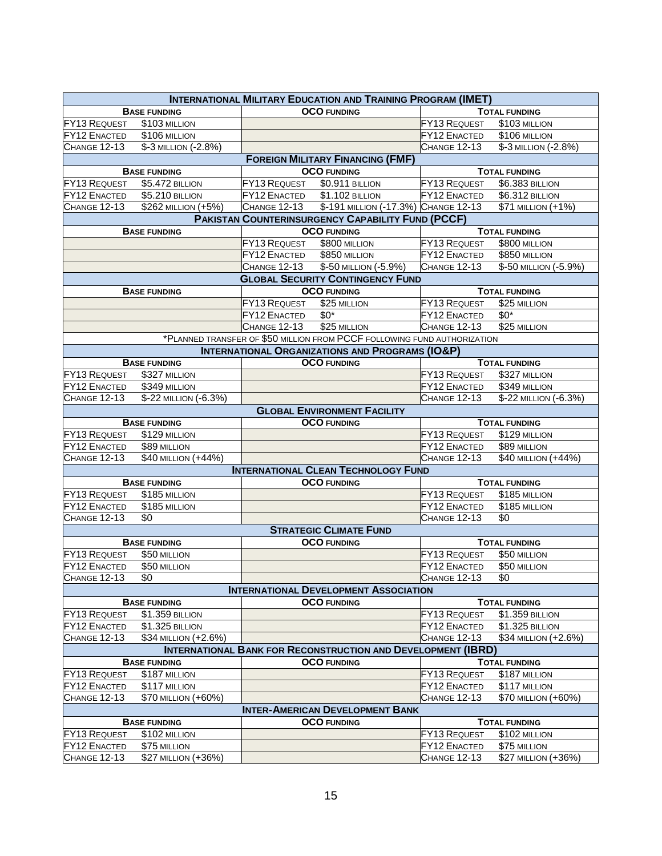| <b>INTERNATIONAL MILITARY EDUCATION AND TRAINING PROGRAM (IMET)</b> |                                         |                     |                                                                          |                     |                       |  |  |
|---------------------------------------------------------------------|-----------------------------------------|---------------------|--------------------------------------------------------------------------|---------------------|-----------------------|--|--|
|                                                                     | <b>BASE FUNDING</b>                     |                     | <b>OCO FUNDING</b>                                                       |                     | <b>TOTAL FUNDING</b>  |  |  |
| <b>FY13 REQUEST</b>                                                 | \$103 MILLION                           |                     |                                                                          | FY13 REQUEST        | \$103 MILLION         |  |  |
| <b>FY12 ENACTED</b>                                                 | \$106 MILLION                           |                     |                                                                          | <b>FY12 ENACTED</b> | \$106 MILLION         |  |  |
| CHANGE 12-13                                                        | \$-3 MILLION (-2.8%)                    |                     |                                                                          | CHANGE 12-13        | \$-3 MILLION (-2.8%)  |  |  |
|                                                                     | <b>FOREIGN MILITARY FINANCING (FMF)</b> |                     |                                                                          |                     |                       |  |  |
|                                                                     | <b>BASE FUNDING</b>                     |                     | <b>OCO FUNDING</b>                                                       |                     | <b>TOTAL FUNDING</b>  |  |  |
| FY13 REQUEST                                                        | \$5.472 BILLION                         | <b>FY13 REQUEST</b> | \$0.911 BILLION                                                          | <b>FY13 REQUEST</b> | \$6.383 BILLION       |  |  |
| <b>FY12 ENACTED</b>                                                 | \$5.210 BILLION                         | <b>FY12 ENACTED</b> | \$1.102 BILLION                                                          | FY12 ENACTED        | \$6.312 BILLION       |  |  |
| CHANGE 12-13                                                        | \$262 MILLION (+5%)                     | <b>CHANGE 12-13</b> | \$-191 MILLION (-17.3%) CHANGE 12-13                                     |                     | \$71 MILLION (+1%)    |  |  |
|                                                                     |                                         |                     | <b>PAKISTAN COUNTERINSURGENCY CAPABILITY FUND (PCCF)</b>                 |                     |                       |  |  |
|                                                                     | <b>BASE FUNDING</b>                     | <b>OCO FUNDING</b>  |                                                                          |                     | <b>TOTAL FUNDING</b>  |  |  |
|                                                                     |                                         | <b>FY13 REQUEST</b> | \$800 MILLION                                                            | FY13 REQUEST        | \$800 MILLION         |  |  |
|                                                                     |                                         | FY12 ENACTED        | \$850 MILLION                                                            | FY12 ENACTED        | \$850 MILLION         |  |  |
|                                                                     |                                         | CHANGE 12-13        | \$-50 MILLION (-5.9%)                                                    | <b>CHANGE 12-13</b> | \$-50 MILLION (-5.9%) |  |  |
|                                                                     |                                         |                     | <b>GLOBAL SECURITY CONTINGENCY FUND</b>                                  |                     |                       |  |  |
|                                                                     | <b>BASE FUNDING</b>                     |                     | <b>OCO FUNDING</b>                                                       |                     | <b>TOTAL FUNDING</b>  |  |  |
|                                                                     |                                         | FY13 REQUEST        | \$25 MILLION                                                             | <b>FY13 REQUEST</b> | \$25 MILLION          |  |  |
|                                                                     |                                         | <b>FY12 ENACTED</b> | $$0^*$                                                                   | <b>FY12 ENACTED</b> | $$0^*$                |  |  |
|                                                                     |                                         | CHANGE 12-13        | \$25 MILLION                                                             | CHANGE 12-13        | \$25 MILLION          |  |  |
|                                                                     |                                         |                     | *PLANNED TRANSFER OF \$50 MILLION FROM PCCF FOLLOWING FUND AUTHORIZATION |                     |                       |  |  |
|                                                                     |                                         |                     | <b>INTERNATIONAL ORGANIZATIONS AND PROGRAMS (IO&amp;P)</b>               |                     |                       |  |  |
|                                                                     | <b>BASE FUNDING</b>                     |                     | <b>OCO FUNDING</b>                                                       |                     | <b>TOTAL FUNDING</b>  |  |  |
| <b>FY13 REQUEST</b>                                                 | \$327 MILLION                           |                     |                                                                          | FY13 REQUEST        | \$327 MILLION         |  |  |
| FY12 ENACTED                                                        | \$349 MILLION                           |                     |                                                                          | <b>FY12 ENACTED</b> | \$349 MILLION         |  |  |
| CHANGE 12-13                                                        | \$-22 MILLION (-6.3%)                   |                     |                                                                          | CHANGE 12-13        | \$-22 MILLION (-6.3%) |  |  |
|                                                                     |                                         |                     | <b>GLOBAL ENVIRONMENT FACILITY</b>                                       |                     |                       |  |  |
|                                                                     | <b>BASE FUNDING</b>                     |                     | <b>OCO FUNDING</b>                                                       |                     | <b>TOTAL FUNDING</b>  |  |  |
| <b>FY13 REQUEST</b>                                                 | \$129 MILLION                           |                     |                                                                          | <b>FY13 REQUEST</b> | \$129 MILLION         |  |  |
| <b>FY12 ENACTED</b>                                                 | \$89 MILLION                            |                     |                                                                          | FY12 ENACTED        | \$89 MILLION          |  |  |
| CHANGE 12-13                                                        | \$40 MILLION (+44%)                     |                     |                                                                          | CHANGE 12-13        | \$40 MILLION (+44%)   |  |  |
|                                                                     |                                         |                     | <b>INTERNATIONAL CLEAN TECHNOLOGY FUND</b>                               |                     |                       |  |  |
|                                                                     | <b>BASE FUNDING</b>                     |                     | <b>OCO FUNDING</b>                                                       |                     | <b>TOTAL FUNDING</b>  |  |  |
| <b>FY13 REQUEST</b>                                                 | \$185 MILLION                           |                     |                                                                          | <b>FY13 REQUEST</b> | \$185 MILLION         |  |  |
| <b>FY12 ENACTED</b>                                                 | $$185$ MILLION                          |                     |                                                                          | <b>FY12 ENACTED</b> | \$185 MILLION         |  |  |
| CHANGE 12-13                                                        | \$0                                     |                     |                                                                          | <b>CHANGE 12-13</b> | \$0                   |  |  |
|                                                                     |                                         |                     | <b>STRATEGIC CLIMATE FUND</b>                                            |                     |                       |  |  |
|                                                                     | <b>BASE FUNDING</b>                     |                     | <b>OCO FUNDING</b>                                                       |                     | <b>TOTAL FUNDING</b>  |  |  |
| <b>FY13 REQUEST</b>                                                 | \$50 MILLION                            |                     |                                                                          | FY13 REQUEST        | \$50 MILLION          |  |  |
| <b>FY12 ENACTED</b>                                                 | \$50 MILLION                            |                     |                                                                          | FY12 ENACTED        | \$50 MILLION          |  |  |
| <b>CHANGE 12-13</b>                                                 | $\sqrt{60}$                             |                     |                                                                          | CHANGE 12-13 \$0    |                       |  |  |
|                                                                     |                                         |                     | <b>INTERNATIONAL DEVELOPMENT ASSOCIATION</b>                             |                     |                       |  |  |
|                                                                     | <b>BASE FUNDING</b>                     |                     | <b>OCO FUNDING</b>                                                       |                     | <b>TOTAL FUNDING</b>  |  |  |
| <b>FY13 REQUEST</b>                                                 | \$1.359 BILLION                         |                     |                                                                          | <b>FY13 REQUEST</b> | \$1.359 BILLION       |  |  |
| <b>FY12 ENACTED</b>                                                 | \$1.325 BILLION                         |                     |                                                                          | FY12 ENACTED        | \$1.325 BILLION       |  |  |
| <b>CHANGE 12-13</b>                                                 | \$34 MILLION (+2.6%)                    |                     |                                                                          | CHANGE 12-13        | \$34 MILLION (+2.6%)  |  |  |
| <b>INTERNATIONAL BANK FOR RECONSTRUCTION AND DEVELOPMENT (IBRD)</b> |                                         |                     |                                                                          |                     |                       |  |  |
|                                                                     | <b>BASE FUNDING</b>                     |                     | <b>OCO FUNDING</b>                                                       |                     | <b>TOTAL FUNDING</b>  |  |  |
| <b>FY13 REQUEST</b>                                                 | \$187 MILLION                           |                     |                                                                          | <b>FY13 REQUEST</b> | \$187 MILLION         |  |  |
| <b>FY12 ENACTED</b>                                                 | \$117 MILLION                           |                     |                                                                          | <b>FY12 ENACTED</b> | \$117 MILLION         |  |  |
| CHANGE 12-13                                                        | \$70 MILLION (+60%)                     |                     |                                                                          | CHANGE 12-13        | \$70 MILLION (+60%)   |  |  |
|                                                                     |                                         |                     | <b>INTER-AMERICAN DEVELOPMENT BANK</b>                                   |                     |                       |  |  |
|                                                                     | <b>BASE FUNDING</b>                     |                     | <b>OCO FUNDING</b>                                                       |                     | <b>TOTAL FUNDING</b>  |  |  |
| <b>FY13 REQUEST</b>                                                 | \$102 MILLION                           |                     |                                                                          | <b>FY13 REQUEST</b> | \$102 MILLION         |  |  |
| <b>FY12 ENACTED</b>                                                 | \$75 MILLION                            |                     |                                                                          | <b>FY12 ENACTED</b> | \$75 MILLION          |  |  |
| <b>CHANGE 12-13</b>                                                 | \$27 MILLION (+36%)                     |                     |                                                                          | CHANGE 12-13        | \$27 MILLION (+36%)   |  |  |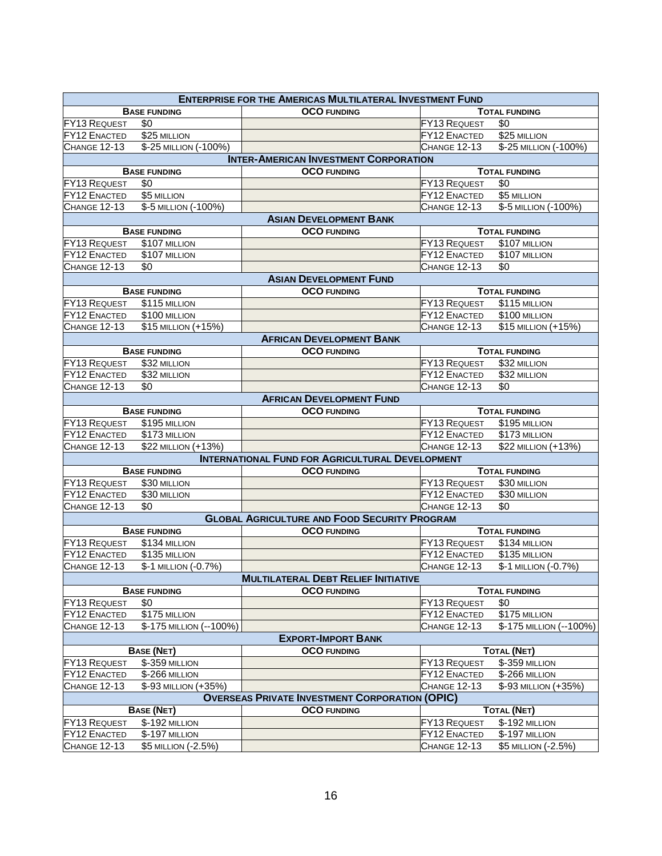| <b>ENTERPRISE FOR THE AMERICAS MULTILATERAL INVESTMENT FUND</b> |                         |                                                        |                     |                         |  |
|-----------------------------------------------------------------|-------------------------|--------------------------------------------------------|---------------------|-------------------------|--|
| <b>BASE FUNDING</b>                                             |                         | <b>OCO FUNDING</b>                                     |                     | <b>TOTAL FUNDING</b>    |  |
| <b>FY13 REQUEST</b>                                             | \$0                     |                                                        | FY13 REQUEST        | \$0                     |  |
| FY12 ENACTED                                                    | \$25 MILLION            |                                                        | <b>FY12 ENACTED</b> | \$25 MILLION            |  |
| CHANGE 12-13                                                    | \$-25 MILLION (-100%)   |                                                        | CHANGE 12-13        | \$-25 MILLION (-100%)   |  |
|                                                                 |                         | <b>INTER-AMERICAN INVESTMENT CORPORATION</b>           |                     |                         |  |
|                                                                 | <b>BASE FUNDING</b>     | <b>OCO FUNDING</b>                                     |                     | <b>TOTAL FUNDING</b>    |  |
| <b>FY13 REQUEST</b>                                             | \$0                     |                                                        | FY13 REQUEST        | \$0                     |  |
| <b>FY12 ENACTED</b>                                             | \$5 MILLION             |                                                        | FY12 ENACTED        | \$5 MILLION             |  |
| CHANGE 12-13                                                    | \$-5 MILLION (-100%)    |                                                        | CHANGE 12-13        | \$-5 MILLION (-100%)    |  |
|                                                                 |                         | <b>ASIAN DEVELOPMENT BANK</b>                          |                     |                         |  |
|                                                                 | <b>BASE FUNDING</b>     | <b>OCO FUNDING</b>                                     |                     | <b>TOTAL FUNDING</b>    |  |
| <b>FY13 REQUEST</b>                                             | \$107 MILLION           |                                                        | FY13 REQUEST        | \$107 MILLION           |  |
| <b>FY12 ENACTED</b>                                             | \$107 MILLION           |                                                        | FY12 ENACTED        | \$107 MILLION           |  |
| <b>CHANGE 12-13</b>                                             | \$0                     |                                                        | <b>CHANGE 12-13</b> | \$0                     |  |
|                                                                 |                         | <b>ASIAN DEVELOPMENT FUND</b>                          |                     |                         |  |
|                                                                 | <b>BASE FUNDING</b>     | <b>OCO FUNDING</b>                                     |                     | <b>TOTAL FUNDING</b>    |  |
| <b>FY13 REQUEST</b>                                             | \$115 MILLION           |                                                        | <b>FY13 REQUEST</b> | \$115 MILLION           |  |
| FY12 ENACTED                                                    | \$100 MILLION           |                                                        | <b>FY12 ENACTED</b> | \$100 MILLION           |  |
| CHANGE 12-13                                                    | \$15 MILLION (+15%)     |                                                        | CHANGE 12-13        | \$15 MILLION (+15%)     |  |
|                                                                 |                         | <b>AFRICAN DEVELOPMENT BANK</b>                        |                     |                         |  |
|                                                                 | <b>BASE FUNDING</b>     | <b>OCO FUNDING</b>                                     |                     | <b>TOTAL FUNDING</b>    |  |
| FY13 REQUEST                                                    | \$32 MILLION            |                                                        | FY13 REQUEST        | \$32 MILLION            |  |
| FY12 ENACTED                                                    | \$32 MILLION            |                                                        | FY12 ENACTED        | \$32 MILLION            |  |
| CHANGE 12-13                                                    | \$0                     |                                                        | CHANGE 12-13        | \$0                     |  |
|                                                                 |                         | <b>AFRICAN DEVELOPMENT FUND</b>                        |                     |                         |  |
|                                                                 | <b>BASE FUNDING</b>     | <b>OCO FUNDING</b>                                     |                     | <b>TOTAL FUNDING</b>    |  |
| <b>FY13 REQUEST</b>                                             | \$195 MILLION           |                                                        | FY13 REQUEST        | \$195 MILLION           |  |
| <b>FY12 ENACTED</b>                                             | \$173 MILLION           |                                                        | FY12 ENACTED        | \$173 MILLION           |  |
| CHANGE 12-13                                                    | \$22 MILLION (+13%)     |                                                        | CHANGE 12-13        | \$22 MILLION (+13%)     |  |
|                                                                 |                         | <b>INTERNATIONAL FUND FOR AGRICULTURAL DEVELOPMENT</b> |                     |                         |  |
|                                                                 | <b>BASE FUNDING</b>     | <b>OCO FUNDING</b>                                     |                     | <b>TOTAL FUNDING</b>    |  |
| <b>FY13 REQUEST</b>                                             | \$30 MILLION            |                                                        | FY13 REQUEST        | \$30 MILLION            |  |
| <b>FY12 ENACTED</b>                                             | \$30 MILLION            |                                                        | FY12 ENACTED        | \$30 MILLION            |  |
| CHANGE 12-13                                                    | \$0                     |                                                        | CHANGE 12-13        | \$0                     |  |
|                                                                 |                         | <b>GLOBAL AGRICULTURE AND FOOD SECURITY PROGRAM</b>    |                     |                         |  |
|                                                                 | <b>BASE FUNDING</b>     | <b>OCO</b> FUNDING                                     |                     | <b>TOTAL FUNDING</b>    |  |
| <b>FY13 REQUEST</b>                                             | \$134 MILLION           |                                                        | FY13 REQUEST        | $$134$ MILLION          |  |
| FY12 ENACTED                                                    | \$135 MILLION           |                                                        | FY12 ENACTED        | \$135 MILLION           |  |
| CHANGE 12-13                                                    | \$-1 MILLION (-0.7%)    |                                                        | <b>CHANGE 12-13</b> | \$-1 MILLION (-0.7%)    |  |
| <b>MULTILATERAL DEBT RELIEF INITIATIVE</b>                      |                         |                                                        |                     |                         |  |
|                                                                 | <b>BASE FUNDING</b>     | <b>OCO FUNDING</b>                                     |                     | <b>TOTAL FUNDING</b>    |  |
| <b>FY13 REQUEST</b>                                             | \$0                     |                                                        | <b>FY13 REQUEST</b> | \$0                     |  |
| FY12 ENACTED                                                    | \$175 MILLION           |                                                        | <b>FY12 ENACTED</b> | \$175 MILLION           |  |
| <b>CHANGE 12-13</b>                                             | \$-175 MILLION (--100%) |                                                        | <b>CHANGE 12-13</b> | \$-175 MILLION (--100%) |  |
| <b>EXPORT-IMPORT BANK</b>                                       |                         |                                                        |                     |                         |  |
|                                                                 | <b>BASE (NET)</b>       | <b>OCO FUNDING</b>                                     |                     | <b>TOTAL (NET)</b>      |  |
| <b>FY13 REQUEST</b>                                             | \$-359 MILLION          |                                                        | FY13 REQUEST        | \$-359 MILLION          |  |
| <b>FY12 ENACTED</b>                                             | \$-266 MILLION          |                                                        | FY12 ENACTED        | \$-266 MILLION          |  |
| CHANGE 12-13                                                    | \$-93 MILLION (+35%)    |                                                        | <b>CHANGE 12-13</b> | \$-93 MILLION (+35%)    |  |
|                                                                 |                         | <b>OVERSEAS PRIVATE INVESTMENT CORPORATION (OPIC)</b>  |                     |                         |  |
|                                                                 | <b>BASE (NET)</b>       | <b>OCO FUNDING</b>                                     |                     | <b>TOTAL (NET)</b>      |  |
| <b>FY13 REQUEST</b>                                             | \$-192 MILLION          |                                                        | FY13 REQUEST        | \$-192 MILLION          |  |
| <b>FY12 ENACTED</b>                                             | \$-197 MILLION          |                                                        | FY12 ENACTED        | \$-197 MILLION          |  |
| <b>CHANGE 12-13</b>                                             | \$5 MILLION (-2.5%)     |                                                        | <b>CHANGE 12-13</b> | \$5 MILLION (-2.5%)     |  |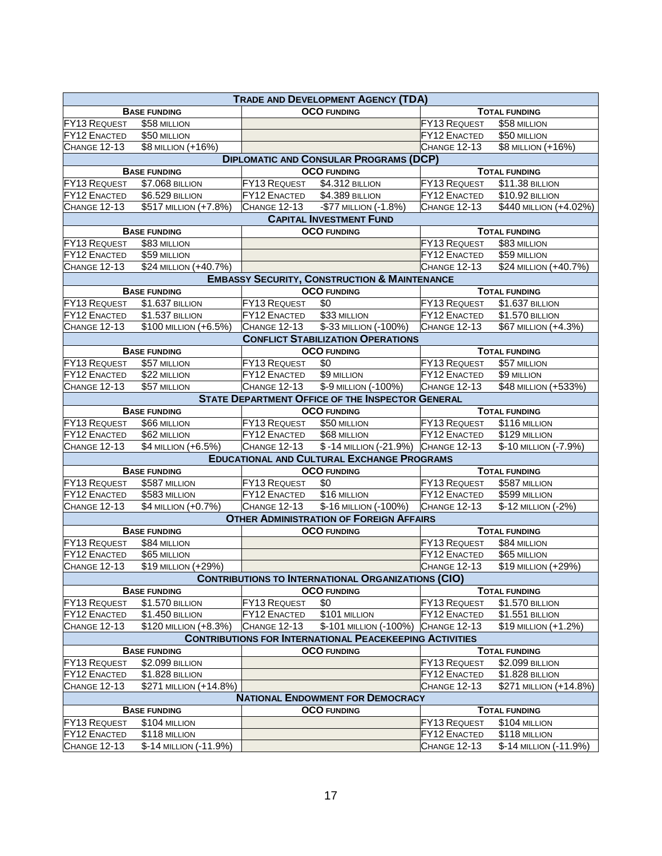| <b>TRADE AND DEVELOPMENT AGENCY (TDA)</b>                         |                        |                     |                                                         |                      |                        |
|-------------------------------------------------------------------|------------------------|---------------------|---------------------------------------------------------|----------------------|------------------------|
|                                                                   | <b>BASE FUNDING</b>    |                     | <b>OCO FUNDING</b>                                      |                      | <b>TOTAL FUNDING</b>   |
| <b>FY13 REQUEST</b>                                               | \$58 MILLION           |                     |                                                         | FY13 REQUEST         | \$58 MILLION           |
| FY12 ENACTED                                                      | \$50 MILLION           |                     |                                                         | FY12 ENACTED         | \$50 MILLION           |
| CHANGE 12-13                                                      | \$8 MILLION (+16%)     |                     |                                                         | <b>CHANGE 12-13</b>  | \$8 MILLION (+16%)     |
|                                                                   |                        |                     | <b>DIPLOMATIC AND CONSULAR PROGRAMS (DCP)</b>           |                      |                        |
| <b>BASE FUNDING</b><br><b>OCO FUNDING</b><br><b>TOTAL FUNDING</b> |                        |                     |                                                         |                      |                        |
| <b>FY13 REQUEST</b>                                               | \$7.068 BILLION        | <b>FY13 REQUEST</b> | \$4.312 BILLION                                         | FY13 REQUEST         | \$11.38 BILLION        |
| <b>FY12 ENACTED</b>                                               | \$6.529 BILLION        | <b>FY12 ENACTED</b> | \$4.389 BILLION                                         | <b>FY12 ENACTED</b>  | \$10.92 BILLION        |
| CHANGE 12-13                                                      | \$517 MILLION (+7.8%)  | CHANGE 12-13        | -\$77 MILLION (-1.8%)                                   | CHANGE 12-13         | \$440 MILLION (+4.02%) |
|                                                                   |                        |                     | <b>CAPITAL INVESTMENT FUND</b>                          |                      |                        |
|                                                                   | <b>BASE FUNDING</b>    |                     | <b>OCO FUNDING</b>                                      |                      | <b>TOTAL FUNDING</b>   |
| FY13 REQUEST                                                      | \$83 MILLION           |                     |                                                         | FY13 REQUEST         | \$83 MILLION           |
| <b>FY12 ENACTED</b>                                               | \$59 MILLION           |                     |                                                         | FY12 ENACTED         | \$59 MILLION           |
| CHANGE 12-13                                                      | \$24 MILLION (+40.7%)  |                     |                                                         | CHANGE 12-13         | \$24 MILLION (+40.7%)  |
|                                                                   |                        |                     | <b>EMBASSY SECURITY, CONSTRUCTION &amp; MAINTENANCE</b> |                      |                        |
|                                                                   | <b>BASE FUNDING</b>    |                     | <b>OCO FUNDING</b>                                      |                      | <b>TOTAL FUNDING</b>   |
| FY13 REQUEST                                                      | \$1.637 BILLION        | FY13 REQUEST        | $\sqrt{6}$                                              | FY13 REQUEST         | \$1.637 BILLION        |
| <b>FY12 ENACTED</b>                                               | \$1.537 BILLION        | FY12 ENACTED        | \$33 MILLION                                            | <b>FY12 ENACTED</b>  | $$1.570$ BILLION       |
| CHANGE 12-13                                                      | \$100 MILLION (+6.5%)  | CHANGE 12-13        | \$-33 MILLION (-100%)                                   | <b>CHANGE 12-13</b>  | \$67 MILLION (+4.3%)   |
|                                                                   |                        |                     | <b>CONFLICT STABILIZATION OPERATIONS</b>                |                      |                        |
|                                                                   | <b>BASE FUNDING</b>    |                     | <b>OCO FUNDING</b>                                      |                      | <b>TOTAL FUNDING</b>   |
| <b>FY13 REQUEST</b>                                               | \$57 MILLION           | <b>FY13 REQUEST</b> | \$0                                                     | FY13 REQUEST         | \$57 MILLION           |
| FY12 ENACTED                                                      | \$22 MILLION           | <b>FY12 ENACTED</b> | \$9 MILLION                                             | <b>FY12 ENACTED</b>  | \$9 MILLION            |
| <b>CHANGE 12-13</b>                                               | \$57 MILLION           | CHANGE 12-13        | \$-9 MILLION (-100%)                                    | <b>CHANGE 12-13</b>  | \$48 MILLION (+533%)   |
|                                                                   |                        |                     | <b>STATE DEPARTMENT OFFICE OF THE INSPECTOR GENERAL</b> |                      |                        |
|                                                                   | <b>BASE FUNDING</b>    |                     | <b>OCO FUNDING</b>                                      |                      | <b>TOTAL FUNDING</b>   |
| <b>FY13 REQUEST</b>                                               | \$66 MILLION           | <b>FY13 REQUEST</b> | \$50 MILLION                                            | FY13 REQUEST         | \$116 MILLION          |
| FY12 ENACTED                                                      | \$62 MILLION           | <b>FY12 ENACTED</b> | \$68 MILLION                                            | FY12 ENACTED         | \$129 MILLION          |
| CHANGE 12-13                                                      | \$4 MILLION (+6.5%)    | <b>CHANGE 12-13</b> | $$ -14$ MILLION $(-21.9%)$                              | CHANGE 12-13         | \$-10 MILLION (-7.9%)  |
| <b>EDUCATIONAL AND CULTURAL EXCHANGE PROGRAMS</b>                 |                        |                     |                                                         |                      |                        |
| <b>BASE FUNDING</b>                                               |                        |                     | <b>OCO FUNDING</b>                                      |                      | <b>TOTAL FUNDING</b>   |
| FY13 REQUEST                                                      | \$587 MILLION          | FY13 REQUEST        | \$0                                                     | FY13 REQUEST         | \$587 MILLION          |
| <b>FY12 ENACTED</b>                                               | \$583 MILLION          | <b>FY12 ENACTED</b> | \$16 MILLION                                            | <b>FY12 ENACTED</b>  | \$599 MILLION          |
| CHANGE 12-13                                                      | \$4 MILLION (+0.7%)    | CHANGE 12-13        | \$-16 MILLION (-100%)                                   | CHANGE 12-13         | \$-12 MILLION (-2%)    |
|                                                                   |                        |                     | <b>OTHER ADMINISTRATION OF FOREIGN AFFAIRS</b>          |                      |                        |
|                                                                   | <b>BASE FUNDING</b>    |                     | <b>OCO FUNDING</b>                                      |                      | <b>TOTAL FUNDING</b>   |
| <b>FY13 REQUEST</b>                                               | \$84 MILLION           |                     |                                                         | FY13 REQUEST         | \$84 MILLION           |
| FY12 ENACTED                                                      | \$65 MILLION           |                     |                                                         | <b>FY12 ENACTED</b>  | \$65 MILLION           |
| CHANGE 12-13                                                      | \$19 MILLION (+29%)    |                     |                                                         | <b>CHANGE 12-13</b>  | \$19 MILLION (+29%)    |
| <b>CONTRIBUTIONS TO INTERNATIONAL ORGANIZATIONS (CIO)</b>         |                        |                     |                                                         |                      |                        |
|                                                                   | <b>BASE FUNDING</b>    | <b>OCO FUNDING</b>  |                                                         | <b>TOTAL FUNDING</b> |                        |
| <b>FY13 REQUEST</b>                                               | \$1.570 BILLION        | <b>FY13 REQUEST</b> | \$0                                                     | <b>FY13 REQUEST</b>  | \$1.570 BILLION        |
| FY12 ENACTED                                                      | \$1.450 BILLION        | <b>FY12 ENACTED</b> | \$101 MILLION                                           | <b>FY12 ENACTED</b>  | \$1.551 BILLION        |
| <b>CHANGE 12-13</b>                                               | \$120 MILLION (+8.3%)  | CHANGE 12-13        | \$-101 MILLION (-100%)                                  | CHANGE 12-13         | \$19 MILLION (+1.2%)   |
| <b>CONTRIBUTIONS FOR INTERNATIONAL PEACEKEEPING ACTIVITIES</b>    |                        |                     |                                                         |                      |                        |
| <b>BASE FUNDING</b><br><b>OCO FUNDING</b><br><b>TOTAL FUNDING</b> |                        |                     |                                                         |                      |                        |
| <b>FY13 REQUEST</b>                                               | \$2.099 BILLION        |                     |                                                         | <b>FY13 REQUEST</b>  | \$2.099 BILLION        |
| <b>FY12 ENACTED</b>                                               | \$1.828 BILLION        |                     |                                                         | <b>FY12 ENACTED</b>  | \$1.828 BILLION        |
| <b>CHANGE 12-13</b>                                               | \$271 MILLION (+14.8%) |                     |                                                         | <b>CHANGE 12-13</b>  | \$271 MILLION (+14.8%) |
|                                                                   |                        |                     | <b>NATIONAL ENDOWMENT FOR DEMOCRACY</b>                 |                      |                        |
|                                                                   | <b>BASE FUNDING</b>    |                     | <b>OCO FUNDING</b>                                      |                      | <b>TOTAL FUNDING</b>   |
| <b>FY13 REQUEST</b>                                               | \$104 MILLION          |                     |                                                         | FY13 REQUEST         | \$104 MILLION          |
| <b>FY12 ENACTED</b>                                               | \$118 MILLION          |                     |                                                         | FY12 ENACTED         | \$118 MILLION          |
| CHANGE 12-13                                                      | \$-14 MILLION (-11.9%) |                     |                                                         | <b>CHANGE 12-13</b>  | \$-14 MILLION (-11.9%) |